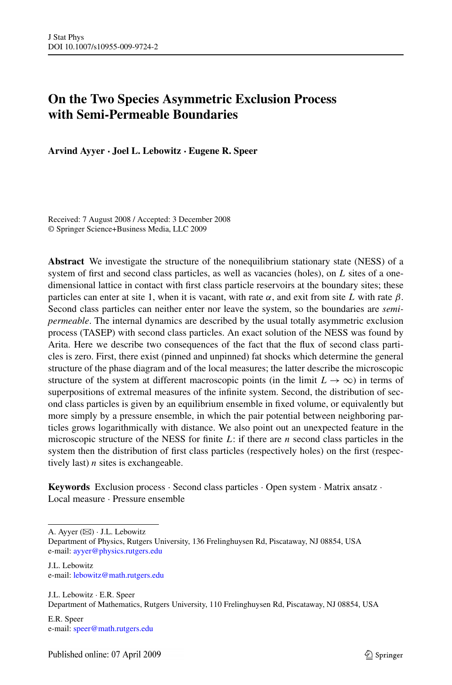# **On the Two Species Asymmetric Exclusion Process with Semi-Permeable Boundaries**

**Arvind Ayyer · Joel L. Lebowitz · Eugene R. Speer**

Received: 7 August 2008 / Accepted: 3 December 2008 © Springer Science+Business Media, LLC 2009

**Abstract** We investigate the structure of the nonequilibrium stationary state (NESS) of a system of first and second class particles, as well as vacancies (holes), on *L* sites of a onedimensional lattice in contact with first class particle reservoirs at the boundary sites; these particles can enter at site 1, when it is vacant, with rate  $\alpha$ , and exit from site L with rate  $\beta$ . Second class particles can neither enter nor leave the system, so the boundaries are *semipermeable*. The internal dynamics are described by the usual totally asymmetric exclusion process (TASEP) with second class particles. An exact solution of the NESS was found by Arita. Here we describe two consequences of the fact that the flux of second class particles is zero. First, there exist (pinned and unpinned) fat shocks which determine the general structure of the phase diagram and of the local measures; the latter describe the microscopic structure of the system at different macroscopic points (in the limit  $L \rightarrow \infty$ ) in terms of superpositions of extremal measures of the infinite system. Second, the distribution of second class particles is given by an equilibrium ensemble in fixed volume, or equivalently but more simply by a pressure ensemble, in which the pair potential between neighboring particles grows logarithmically with distance. We also point out an unexpected feature in the microscopic structure of the NESS for finite *L*: if there are *n* second class particles in the system then the distribution of first class particles (respectively holes) on the first (respectively last) *n* sites is exchangeable.

**Keywords** Exclusion process · Second class particles · Open system · Matrix ansatz · Local measure · Pressure ensemble

A. Ayyer ( $\boxtimes$ )  $\cdot$  J.L. Lebowitz

Department of Physics, Rutgers University, 136 Frelinghuysen Rd, Piscataway, NJ 08854, USA e-mail: [ayyer@physics.rutgers.edu](mailto:ayyer@physics.rutgers.edu)

- J.L. Lebowitz e-mail: [lebowitz@math.rutgers.edu](mailto:lebowitz@math.rutgers.edu)
- J.L. Lebowitz · E.R. Speer Department of Mathematics, Rutgers University, 110 Frelinghuysen Rd, Piscataway, NJ 08854, USA
- E.R. Speer e-mail: [speer@math.rutgers.edu](mailto:speer@math.rutgers.edu)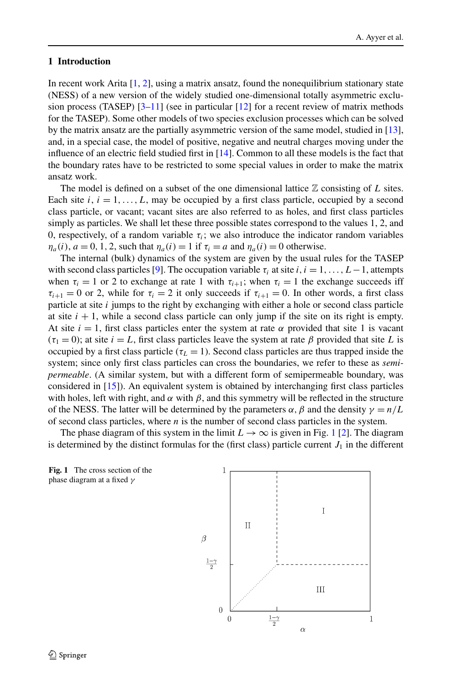## <span id="page-1-0"></span>**1 Introduction**

In recent work Arita  $[1, 2]$  $[1, 2]$  $[1, 2]$  $[1, 2]$ , using a matrix ansatz, found the nonequilibrium stationary state (NESS) of a new version of the widely studied one-dimensional totally asymmetric exclusion process (TASEP)  $[3-11]$  (see in particular  $[12]$  for a recent review of matrix methods for the TASEP). Some other models of two species exclusion processes which can be solved by the matrix ansatz are the partially asymmetric version of the same model, studied in [[13](#page-27-0)], and, in a special case, the model of positive, negative and neutral charges moving under the influence of an electric field studied first in [[14](#page-27-0)]. Common to all these models is the fact that the boundary rates have to be restricted to some special values in order to make the matrix ansatz work.

The model is defined on a subset of the one dimensional lattice  $\mathbb Z$  consisting of  $L$  sites. Each site  $i, i = 1, \ldots, L$ , may be occupied by a first class particle, occupied by a second class particle, or vacant; vacant sites are also referred to as holes, and first class particles simply as particles. We shall let these three possible states correspond to the values 1, 2, and 0, respectively, of a random variable  $\tau_i$ ; we also introduce the indicator random variables  $\eta_a(i)$ ,  $a = 0, 1, 2$ , such that  $\eta_a(i) = 1$  if  $\tau_i = a$  and  $\eta_a(i) = 0$  otherwise.

The internal (bulk) dynamics of the system are given by the usual rules for the TASEP with second class particles [\[9\]](#page-27-0). The occupation variable  $\tau_i$  at site *i*, *i* = 1, ..., *L* − 1, attempts when  $\tau_i = 1$  or 2 to exchange at rate 1 with  $\tau_{i+1}$ ; when  $\tau_i = 1$  the exchange succeeds iff  $\tau_{i+1} = 0$  or 2, while for  $\tau_i = 2$  it only succeeds if  $\tau_{i+1} = 0$ . In other words, a first class particle at site *i* jumps to the right by exchanging with either a hole or second class particle at site  $i + 1$ , while a second class particle can only jump if the site on its right is empty. At site  $i = 1$ , first class particles enter the system at rate  $\alpha$  provided that site 1 is vacant  $(\tau_1 = 0)$ ; at site  $i = L$ , first class particles leave the system at rate  $\beta$  provided that site L is occupied by a first class particle ( $\tau_L = 1$ ). Second class particles are thus trapped inside the system; since only first class particles can cross the boundaries, we refer to these as *semipermeable*. (A similar system, but with a different form of semipermeable boundary, was considered in [[15](#page-27-0)]). An equivalent system is obtained by interchanging first class particles with holes, left with right, and  $\alpha$  with  $\beta$ , and this symmetry will be reflected in the structure of the NESS. The latter will be determined by the parameters  $\alpha$ ,  $\beta$  and the density  $\gamma = n/L$ of second class particles, where *n* is the number of second class particles in the system.

The phase diagram of this system in the limit  $L \to \infty$  is given in Fig. 1 [\[2\]](#page-27-0). The diagram is determined by the distinct formulas for the (first class) particle current  $J_1$  in the different



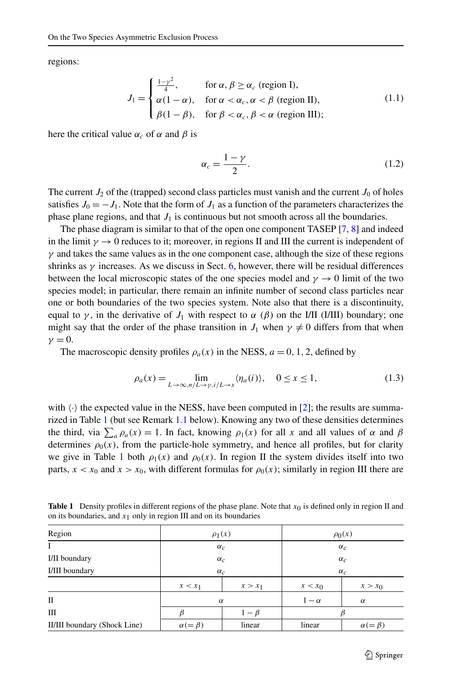<span id="page-2-0"></span>regions:

$$
J_1 = \begin{cases} \frac{1-\gamma^2}{4}, & \text{for } \alpha, \beta \ge \alpha_c \text{ (region I)},\\ \alpha(1-\alpha), & \text{for } \alpha < \alpha_c, \alpha < \beta \text{ (region II)},\\ \beta(1-\beta), & \text{for } \beta < \alpha_c, \beta < \alpha \text{ (region III)};\end{cases}
$$
(1.1)

here the critical value  $\alpha_c$  of  $\alpha$  and  $\beta$  is

$$
\alpha_c = \frac{1 - \gamma}{2}.\tag{1.2}
$$

The current  $J_2$  of the (trapped) second class particles must vanish and the current  $J_0$  of holes satisfies  $J_0 = -J_1$ . Note that the form of  $J_1$  as a function of the parameters characterizes the phase plane regions, and that  $J_1$  is continuous but not smooth across all the boundaries.

The phase diagram is similar to that of the open one component TASEP [\[7](#page-27-0), [8](#page-27-0)] and indeed in the limit  $\gamma \to 0$  reduces to it; moreover, in regions II and III the current is independent of  $\gamma$  and takes the same values as in the one component case, although the size of these regions shrinks as  $\gamma$  increases. As we discuss in Sect. [6](#page-17-0), however, there will be residual differences between the local microscopic states of the one species model and  $\gamma \rightarrow 0$  limit of the two species model; in particular, there remain an infinite number of second class particles near one or both boundaries of the two species system. Note also that there is a discontinuity, equal to  $\gamma$ , in the derivative of  $J_1$  with respect to  $\alpha$  ( $\beta$ ) on the I/II (I/III) boundary; one might say that the order of the phase transition in  $J_1$  when  $\gamma \neq 0$  differs from that when  $\nu = 0$ .

The macroscopic density profiles  $\rho_a(x)$  in the NESS,  $a = 0, 1, 2$ , defined by

$$
\rho_a(x) = \lim_{L \to \infty, n/L \to \gamma, i/L \to x} \langle \eta_a(i) \rangle, \quad 0 \le x \le 1,
$$
\n(1.3)

with  $\langle \cdot \rangle$  the expected value in the NESS, have been computed in [\[2](#page-27-0)]; the results are summarized in Table 1 (but see Remark [1.1](#page-3-0) below). Knowing any two of these densities determines the third, via  $\sum_a \rho_a(x) = 1$ . In fact, knowing  $\rho_1(x)$  for all *x* and all values of  $\alpha$  and  $\beta$ determines  $\rho_0(x)$ , from the particle-hole symmetry, and hence all profiles, but for clarity we give in Table 1 both  $\rho_1(x)$  and  $\rho_0(x)$ . In region II the system divides itself into two parts,  $x < x_0$  and  $x > x_0$ , with different formulas for  $\rho_0(x)$ ; similarly in region III there are

**Table 1** Density profiles in different regions of the phase plane. Note that  $x_0$  is defined only in region II and on its boundaries, and  $x_1$  only in region III and on its boundaries

| Region                       | $\rho_1(x)$      |           | $\rho_0(x)$ |                    |
|------------------------------|------------------|-----------|-------------|--------------------|
| $\mathbf{I}$                 | $\alpha_c$       |           | $\alpha_c$  |                    |
| I/II boundary                | $\alpha_c$       |           | $\alpha_c$  |                    |
| I/III boundary               | $\alpha_c$       |           | $\alpha_c$  |                    |
|                              | $x < x_1$        | $x > x_1$ | $x < x_0$   | $x > x_0$          |
| П                            | $\alpha$         |           | $1-\alpha$  | $\alpha$           |
| Ш                            |                  | $1-\beta$ |             |                    |
| II/III boundary (Shock Line) | $\alpha(=\beta)$ | linear    | linear      | $\alpha (= \beta)$ |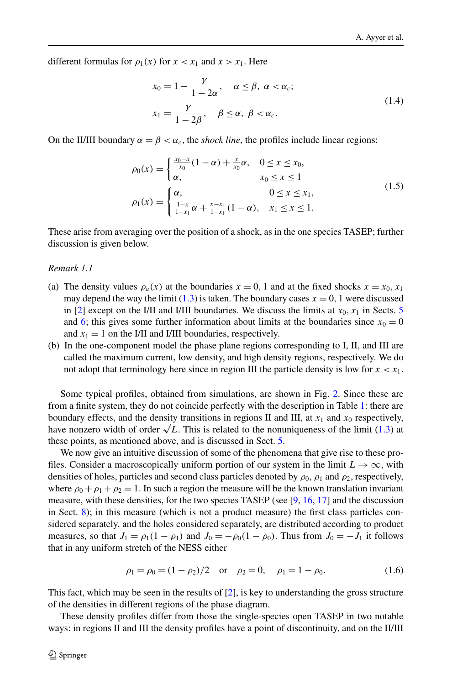<span id="page-3-0"></span>different formulas for  $\rho_1(x)$  for  $x < x_1$  and  $x > x_1$ . Here

$$
x_0 = 1 - \frac{\gamma}{1 - 2\alpha}, \quad \alpha \le \beta, \ \alpha < \alpha_c; \\
x_1 = \frac{\gamma}{1 - 2\beta}, \quad \beta \le \alpha, \ \beta < \alpha_c. \tag{1.4}
$$

On the II/III boundary  $\alpha = \beta < \alpha_c$ , the *shock line*, the profiles include linear regions:

$$
\rho_0(x) = \begin{cases} \frac{x_0 - x}{x_0} (1 - \alpha) + \frac{x}{x_0} \alpha, & 0 \le x \le x_0, \\ \alpha, & x_0 \le x \le 1 \end{cases}
$$
\n
$$
\rho_1(x) = \begin{cases} \alpha, & 0 \le x \le x_1, \\ \frac{1 - x}{1 - x_1} \alpha + \frac{x - x_1}{1 - x_1} (1 - \alpha), & x_1 \le x \le 1. \end{cases}
$$
\n(1.5)

These arise from averaging over the position of a shock, as in the one species TASEP; further discussion is given below.

## *Remark 1.1*

- (a) The density values  $\rho_a(x)$  at the boundaries  $x = 0, 1$  and at the fixed shocks  $x = x_0, x_1$ may depend the way the limit  $(1.3)$  is taken. The boundary cases  $x = 0$ , 1 were discussed in [\[2](#page-27-0)] except on the I/II and I/III boundaries. We discuss the limits at  $x_0, x_1$  in Sects. [5](#page-12-0) and [6](#page-17-0); this gives some further information about limits at the boundaries since  $x_0 = 0$ and  $x_1 = 1$  on the I/II and I/III boundaries, respectively.
- (b) In the one-component model the phase plane regions corresponding to I, II, and III are called the maximum current, low density, and high density regions, respectively. We do not adopt that terminology here since in region III the particle density is low for  $x < x_1$ .

Some typical profiles, obtained from simulations, are shown in Fig. [2.](#page-4-0) Since these are from a finite system, they do not coincide perfectly with the description in Table [1](#page-2-0): there are boundary effects, and the density transitions in regions II and III, at  $x_1$  and  $x_0$  respectively, have nonzero width of order  $\sqrt{L}$ . This is related to the nonuniqueness of the limit ([1.3\)](#page-2-0) at these points, as mentioned above, and is discussed in Sect. [5.](#page-12-0)

We now give an intuitive discussion of some of the phenomena that give rise to these profiles. Consider a macroscopically uniform portion of our system in the limit  $L \to \infty$ , with densities of holes, particles and second class particles denoted by  $\rho_0$ ,  $\rho_1$  and  $\rho_2$ , respectively, where  $\rho_0 + \rho_1 + \rho_2 = 1$ . In such a region the measure will be the known translation invariant measure, with these densities, for the two species TASEP (see [\[9,](#page-27-0) [16,](#page-27-0) [17](#page-27-0)] and the discussion in Sect. [8\)](#page-21-0); in this measure (which is not a product measure) the first class particles considered separately, and the holes considered separately, are distributed according to product measures, so that  $J_1 = \rho_1(1 - \rho_1)$  and  $J_0 = -\rho_0(1 - \rho_0)$ . Thus from  $J_0 = -J_1$  it follows that in any uniform stretch of the NESS either

$$
\rho_1 = \rho_0 = (1 - \rho_2)/2
$$
 or  $\rho_2 = 0$ ,  $\rho_1 = 1 - \rho_0$ . (1.6)

This fact, which may be seen in the results of [[2](#page-27-0)], is key to understanding the gross structure of the densities in different regions of the phase diagram.

These density profiles differ from those the single-species open TASEP in two notable ways: in regions II and III the density profiles have a point of discontinuity, and on the II/III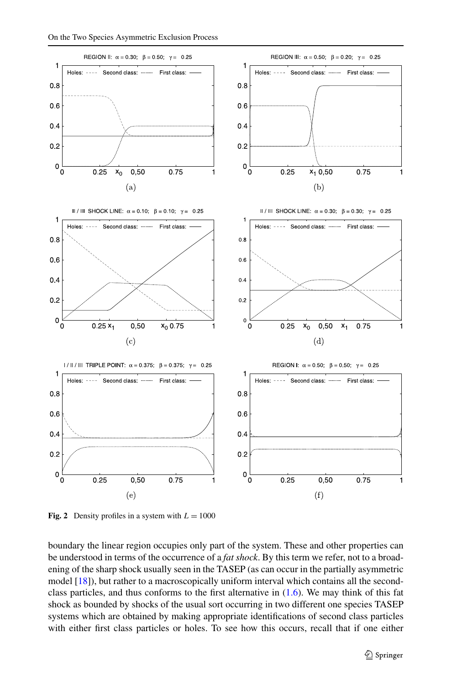<span id="page-4-0"></span>

**Fig. 2** Density profiles in a system with  $L = 1000$ 

boundary the linear region occupies only part of the system. These and other properties can be understood in terms of the occurrence of a *fat shock*. By this term we refer, not to a broadening of the sharp shock usually seen in the TASEP (as can occur in the partially asymmetric model [[18](#page-27-0)]), but rather to a macroscopically uniform interval which contains all the secondclass particles, and thus conforms to the first alternative in  $(1.6)$  $(1.6)$ . We may think of this fat shock as bounded by shocks of the usual sort occurring in two different one species TASEP systems which are obtained by making appropriate identifications of second class particles with either first class particles or holes. To see how this occurs, recall that if one either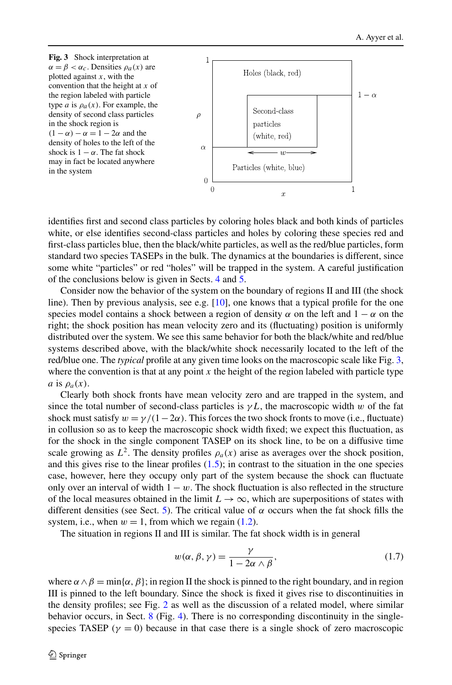<span id="page-5-0"></span>

identifies first and second class particles by coloring holes black and both kinds of particles white, or else identifies second-class particles and holes by coloring these species red and first-class particles blue, then the black/white particles, as well as the red/blue particles, form standard two species TASEPs in the bulk. The dynamics at the boundaries is different, since some white "particles" or red "holes" will be trapped in the system. A careful justification of the conclusions below is given in Sects. [4](#page-10-0) and [5](#page-12-0).

Consider now the behavior of the system on the boundary of regions II and III (the shock line). Then by previous analysis, see e.g.  $[10]$ , one knows that a typical profile for the one species model contains a shock between a region of density  $\alpha$  on the left and  $1 - \alpha$  on the right; the shock position has mean velocity zero and its (fluctuating) position is uniformly distributed over the system. We see this same behavior for both the black/white and red/blue systems described above, with the black/white shock necessarily located to the left of the red/blue one. The *typical* profile at any given time looks on the macroscopic scale like Fig. 3, where the convention is that at any point  $x$  the height of the region labeled with particle type *a* is  $\rho_a(x)$ .

Clearly both shock fronts have mean velocity zero and are trapped in the system, and since the total number of second-class particles is  $\gamma L$ , the macroscopic width *w* of the fat shock must satisfy  $w = \gamma/(1-2\alpha)$ . This forces the two shock fronts to move (i.e., fluctuate) in collusion so as to keep the macroscopic shock width fixed; we expect this fluctuation, as for the shock in the single component TASEP on its shock line, to be on a diffusive time scale growing as  $L^2$ . The density profiles  $\rho_a(x)$  arise as averages over the shock position, and this gives rise to the linear profiles  $(1.5)$  $(1.5)$ ; in contrast to the situation in the one species case, however, here they occupy only part of the system because the shock can fluctuate only over an interval of width  $1 - w$ . The shock fluctuation is also reflected in the structure of the local measures obtained in the limit  $L \to \infty$ , which are superpositions of states with different densities (see Sect. [5\)](#page-12-0). The critical value of  $\alpha$  occurs when the fat shock fills the system, i.e., when  $w = 1$ , from which we regain  $(1.2)$  $(1.2)$ .

The situation in regions II and III is similar. The fat shock width is in general

$$
w(\alpha, \beta, \gamma) = \frac{\gamma}{1 - 2\alpha \wedge \beta},\tag{1.7}
$$

where  $\alpha \wedge \beta = \min{\{\alpha, \beta\}}$ ; in region II the shock is pinned to the right boundary, and in region III is pinned to the left boundary. Since the shock is fixed it gives rise to discontinuities in the density profiles; see Fig. [2](#page-4-0) as well as the discussion of a related model, where similar behavior occurs, in Sect. [8](#page-21-0) (Fig. [4\)](#page-24-0). There is no corresponding discontinuity in the singlespecies TASEP ( $\gamma = 0$ ) because in that case there is a single shock of zero macroscopic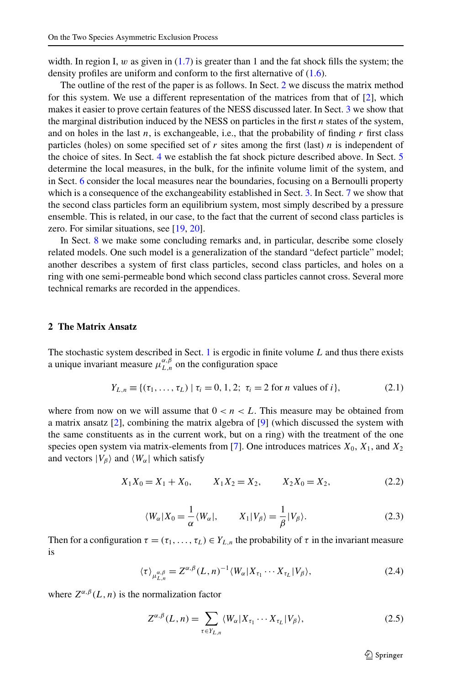<span id="page-6-0"></span>width. In region I,  $w$  as given in  $(1.7)$  is greater than 1 and the fat shock fills the system; the density profiles are uniform and conform to the first alternative of ([1.6](#page-3-0)).

The outline of the rest of the paper is as follows. In Sect. 2 we discuss the matrix method for this system. We use a different representation of the matrices from that of  $[2]$  $[2]$ , which makes it easier to prove certain features of the NESS discussed later. In Sect. [3](#page-7-0) we show that the marginal distribution induced by the NESS on particles in the first *n* states of the system, and on holes in the last  $n$ , is exchangeable, i.e., that the probability of finding  $r$  first class particles (holes) on some specified set of *r* sites among the first (last) *n* is independent of the choice of sites. In Sect. [4](#page-10-0) we establish the fat shock picture described above. In Sect. [5](#page-12-0) determine the local measures, in the bulk, for the infinite volume limit of the system, and in Sect. [6](#page-17-0) consider the local measures near the boundaries, focusing on a Bernoulli property which is a consequence of the exchangeability established in Sect. [3.](#page-7-0) In Sect. [7](#page-18-0) we show that the second class particles form an equilibrium system, most simply described by a pressure ensemble. This is related, in our case, to the fact that the current of second class particles is zero. For similar situations, see [\[19,](#page-28-0) [20](#page-28-0)].

In Sect. [8](#page-21-0) we make some concluding remarks and, in particular, describe some closely related models. One such model is a generalization of the standard "defect particle" model; another describes a system of first class particles, second class particles, and holes on a ring with one semi-permeable bond which second class particles cannot cross. Several more technical remarks are recorded in the appendices.

# **2 The Matrix Ansatz**

The stochastic system described in Sect. [1](#page-1-0) is ergodic in finite volume *L* and thus there exists a unique invariant measure  $\mu_{L,n}^{\alpha,\beta}$  on the configuration space

$$
Y_{L,n} \equiv \{ (\tau_1, \dots, \tau_L) \mid \tau_i = 0, 1, 2; \ \tau_i = 2 \text{ for } n \text{ values of } i \},\tag{2.1}
$$

where from now on we will assume that  $0 < n < L$ . This measure may be obtained from a matrix ansatz  $[2]$  $[2]$ , combining the matrix algebra of  $[9]$  $[9]$  (which discussed the system with the same constituents as in the current work, but on a ring) with the treatment of the one species open system via matrix-elements from [\[7\]](#page-27-0). One introduces matrices  $X_0$ ,  $X_1$ , and  $X_2$ and vectors  $|V_\beta\rangle$  and  $\langle W_\alpha|$  which satisfy

$$
X_1 X_0 = X_1 + X_0, \qquad X_1 X_2 = X_2, \qquad X_2 X_0 = X_2,\tag{2.2}
$$

$$
\langle W_{\alpha}|X_0 = \frac{1}{\alpha} \langle W_{\alpha}|, \qquad X_1|V_{\beta}\rangle = \frac{1}{\beta}|V_{\beta}\rangle. \tag{2.3}
$$

Then for a configuration  $\tau = (\tau_1, \ldots, \tau_L) \in Y_{L,n}$  the probability of  $\tau$  in the invariant measure is

$$
\langle \tau \rangle_{\mu_{L,n}^{\alpha,\beta}} = Z^{\alpha,\beta}(L,n)^{-1} \langle W_{\alpha} | X_{\tau_1} \cdots X_{\tau_L} | V_{\beta} \rangle, \tag{2.4}
$$

where  $Z^{\alpha,\beta}(L,n)$  is the normalization factor

$$
Z^{\alpha,\beta}(L,n) = \sum_{\tau \in Y_{L,n}} \langle W_{\alpha} | X_{\tau_1} \cdots X_{\tau_L} | V_{\beta} \rangle, \tag{2.5}
$$

 $\textcircled{2}$  Springer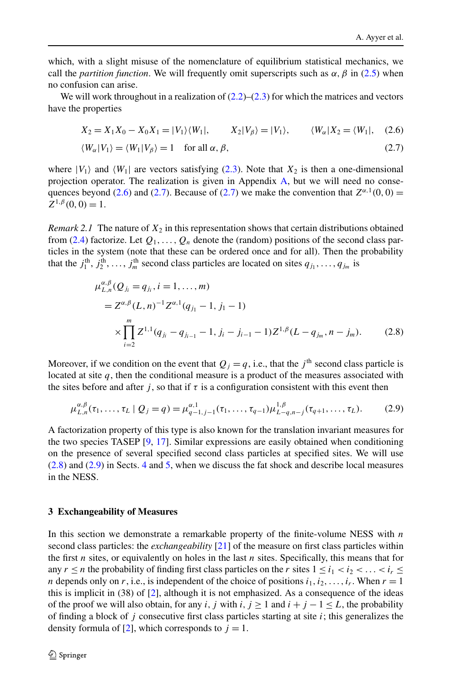<span id="page-7-0"></span>which, with a slight misuse of the nomenclature of equilibrium statistical mechanics, we call the *partition function*. We will frequently omit superscripts such as  $\alpha$ ,  $\beta$  in [\(2.5](#page-6-0)) when no confusion can arise.

We will work throughout in a realization of  $(2.2)$  $(2.2)$  $(2.2)$ – $(2.3)$  $(2.3)$  for which the matrices and vectors have the properties

$$
X_2 = X_1 X_0 - X_0 X_1 = |V_1\rangle\langle W_1|, \qquad X_2 |V_\beta\rangle = |V_1\rangle, \qquad \langle W_\alpha | X_2 = \langle W_1 |, \quad (2.6)
$$

$$
\langle W_{\alpha} | V_1 \rangle = \langle W_1 | V_{\beta} \rangle = 1 \quad \text{for all } \alpha, \beta,
$$
\n(2.7)

where  $|V_1\rangle$  and  $\langle W_1|$  are vectors satisfying [\(2.3\)](#page-6-0). Note that  $X_2$  is then a one-dimensional projection operator. The realization is given in Appendix [A,](#page-24-0) but we will need no consequences beyond (2.6) and (2.7). Because of (2.7) we make the convention that  $Z^{\alpha,1}(0,0)$  =  $Z^{1,\beta}(0,0) = 1.$ 

*Remark 2.1* The nature of  $X_2$  in this representation shows that certain distributions obtained from ([2.4\)](#page-6-0) factorize. Let  $Q_1, \ldots, Q_n$  denote the (random) positions of the second class particles in the system (note that these can be ordered once and for all). Then the probability that the  $j_1^{\text{th}}, j_2^{\text{th}}, \ldots, j_m^{\text{th}}$  second class particles are located on sites  $q_{j_1}, \ldots, q_{j_m}$  is

$$
\mu_{L,n}^{\alpha,\beta}(Q_{j_i} = q_{j_i}, i = 1, ..., m)
$$
  
=  $Z^{\alpha,\beta}(L,n)^{-1}Z^{\alpha,1}(q_{j_1} - 1, j_1 - 1)$   

$$
\times \prod_{i=2}^{m} Z^{1,1}(q_{j_i} - q_{j_{i-1}} - 1, j_i - j_{i-1} - 1)Z^{1,\beta}(L - q_{j_m}, n - j_m).
$$
 (2.8)

Moreover, if we condition on the event that  $Q_i = q$ , i.e., that the *j*<sup>th</sup> second class particle is located at site  $q$ , then the conditional measure is a product of the measures associated with the sites before and after *j*, so that if  $\tau$  is a configuration consistent with this event then

$$
\mu_{L,n}^{\alpha,\beta}(\tau_1,\ldots,\tau_L \mid Q_j = q) = \mu_{q-1,j-1}^{\alpha,1}(\tau_1,\ldots,\tau_{q-1})\mu_{L-q,n-j}^{1,\beta}(\tau_{q+1},\ldots,\tau_L). \tag{2.9}
$$

A factorization property of this type is also known for the translation invariant measures for the two species TASEP [[9,](#page-27-0) [17](#page-27-0)]. Similar expressions are easily obtained when conditioning on the presence of several specified second class particles at specified sites. We will use (2.8) and (2.9) in Sects. [4](#page-10-0) and [5,](#page-12-0) when we discuss the fat shock and describe local measures in the NESS.

#### **3 Exchangeability of Measures**

In this section we demonstrate a remarkable property of the finite-volume NESS with *n* second class particles: the *exchangeability* [[21](#page-28-0)] of the measure on first class particles within the first *n* sites, or equivalently on holes in the last *n* sites. Specifically, this means that for any  $r \le n$  the probability of finding first class particles on the *r* sites  $1 \le i_1 < i_2 < \ldots < i_r \le n$ *n* depends only on *r*, i.e., is independent of the choice of positions  $i_1, i_2, \ldots, i_r$ . When  $r = 1$ this is implicit in (38) of [[2](#page-27-0)], although it is not emphasized. As a consequence of the ideas of the proof we will also obtain, for any *i*, *j* with *i*,  $j \ge 1$  and  $i + j - 1 \le L$ , the probability of finding a block of  $j$  consecutive first class particles starting at site  $i$ ; this generalizes the density formula of [\[2\]](#page-27-0), which corresponds to  $j = 1$ .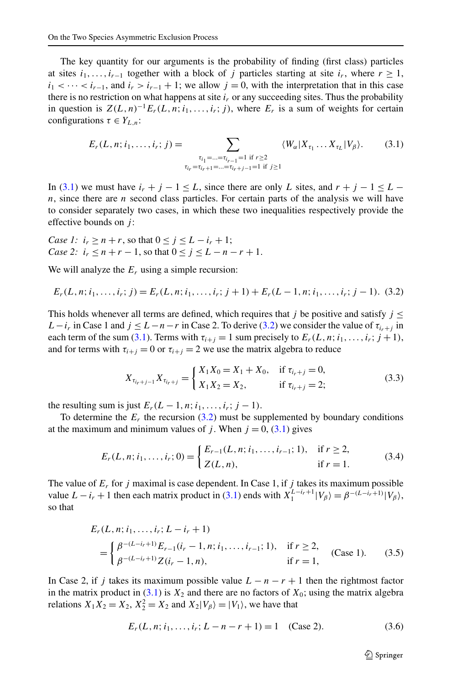<span id="page-8-0"></span>The key quantity for our arguments is the probability of finding (first class) particles at sites  $i_1, \ldots, i_{r-1}$  together with a block of *j* particles starting at site  $i_r$ , where  $r \geq 1$ ,  $i_1$  < ··· <  $i_{r-1}$ , and  $i_r > i_{r-1} + 1$ ; we allow  $j = 0$ , with the interpretation that in this case there is no restriction on what happens at site  $i_r$  or any succeeding sites. Thus the probability in question is  $Z(L,n)^{-1}E_r(L,n;i_1,\ldots,i_r;j)$ , where  $E_r$  is a sum of weights for certain configurations  $\tau \in Y_{L,n}$ :

$$
E_r(L, n; i_1, \dots, i_r; j) = \sum_{\substack{\tau_{i_1} = \dots = \tau_{i_{r-1}} = 1 \text{ if } r \ge 2 \\ \tau_{i_r} = \tau_{i_r+1} = \dots = \tau_{i_r+j-1} = 1 \text{ if } j \ge 1}} \langle W_{\alpha} | X_{\tau_1} \dots X_{\tau_L} | V_{\beta} \rangle. \tag{3.1}
$$

In (3.1) we must have  $i_r + j - 1 \leq L$ , since there are only L sites, and  $r + j - 1 \leq L$ *n*, since there are *n* second class particles. For certain parts of the analysis we will have to consider separately two cases, in which these two inequalities respectively provide the effective bounds on *j* :

Case 1: 
$$
i_r \ge n + r
$$
, so that  $0 \le j \le L - i_r + 1$ ;  
Case 2:  $i_r \le n + r - 1$ , so that  $0 \le j \le L - n - r + 1$ .

We will analyze the  $E_r$  using a simple recursion:

$$
E_r(L, n; i_1, \dots, i_r; j) = E_r(L, n; i_1, \dots, i_r; j+1) + E_r(L-1, n; i_1, \dots, i_r; j-1). \tag{3.2}
$$

This holds whenever all terms are defined, which requires that *j* be positive and satisfy  $j \leq$ *L*−*i<sub>r</sub>* in Case 1 and  $j \leq L - n - r$  in Case 2. To derive (3.2) we consider the value of  $\tau_{i_r+j}$  in each term of the sum (3.1). Terms with  $\tau_{i+j} = 1$  sum precisely to  $E_r(L, n; i_1, \ldots, i_r; j + 1)$ , and for terms with  $\tau_{i+j} = 0$  or  $\tau_{i+j} = 2$  we use the matrix algebra to reduce

$$
X_{\tau_{i_r+j-1}} X_{\tau_{i_r+j}} = \begin{cases} X_1 X_0 = X_1 + X_0, & \text{if } \tau_{i_r+j} = 0, \\ X_1 X_2 = X_2, & \text{if } \tau_{i_r+j} = 2; \end{cases}
$$
(3.3)

the resulting sum is just  $E_r(L-1, n; i_1, \ldots, i_r; j-1)$ .

To determine the  $E_r$  the recursion (3.2) must be supplemented by boundary conditions at the maximum and minimum values of *j*. When  $j = 0$ , (3.1) gives

$$
E_r(L, n; i_1, \dots, i_r; 0) = \begin{cases} E_{r-1}(L, n; i_1, \dots, i_{r-1}; 1), & \text{if } r \ge 2, \\ Z(L, n), & \text{if } r = 1. \end{cases}
$$
(3.4)

The value of  $E_r$  for *j* maximal is case dependent. In Case 1, if *j* takes its maximum possible value  $L - i_r + 1$  then each matrix product in (3.1) ends with  $X_1^{L-i_r+1} |V_\beta\rangle = \beta^{-(L-i_r+1)} |V_\beta\rangle$ , so that

$$
E_r(L, n; i_1, \dots, i_r; L - i_r + 1)
$$
  
= 
$$
\begin{cases} \beta^{-(L-i_r+1)} E_{r-1}(i_r - 1, n; i_1, \dots, i_{r-1}; 1), & \text{if } r \ge 2, \\ \beta^{-(L-i_r+1)} Z(i_r - 1, n), & \text{if } r = 1, \end{cases}
$$
 (Case 1). (3.5)

In Case 2, if *j* takes its maximum possible value  $L - n - r + 1$  then the rightmost factor in the matrix product in  $(3.1)$  is  $X_2$  and there are no factors of  $X_0$ ; using the matrix algebra relations  $X_1 X_2 = X_2$ ,  $X_2^2 = X_2$  and  $X_2 | V_\beta \rangle = | V_1 \rangle$ , we have that

$$
E_r(L, n; i_1, \dots, i_r; L - n - r + 1) = 1 \quad \text{(Case 2).} \tag{3.6}
$$

 $\mathcal{D}$  Springer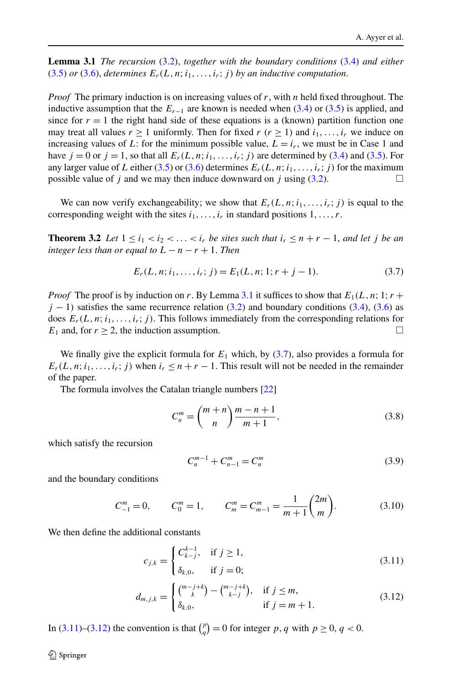<span id="page-9-0"></span>**Lemma 3.1** *The recursion* [\(3.2\)](#page-8-0), *together with the boundary conditions* [\(3.4](#page-8-0)) *and either*  $(3.5)$  $(3.5)$  *or*  $(3.6)$  $(3.6)$ *, determines*  $E_r(L, n; i_1, \ldots, i_r; j)$  *by an inductive computation.* 

*Proof* The primary induction is on increasing values of *r*, with *n* held fixed throughout. The inductive assumption that the  $E_{r-1}$  are known is needed when ([3.4](#page-8-0)) or ([3.5\)](#page-8-0) is applied, and since for  $r = 1$  the right hand side of these equations is a (known) partition function one may treat all values  $r \ge 1$  uniformly. Then for fixed  $r$  ( $r \ge 1$ ) and  $i_1, \ldots, i_r$  we induce on increasing values of L: for the minimum possible value,  $L = i_r$ , we must be in Case 1 and have  $j = 0$  or  $j = 1$ , so that all  $E_r(L, n; i_1, \ldots, i_r; j)$  are determined by ([3.4](#page-8-0)) and ([3.5\)](#page-8-0). For any larger value of *L* either [\(3.5](#page-8-0)) or [\(3.6](#page-8-0)) determines  $E_r(L, n; i_1, \ldots, i_r; j)$  for the maximum<br>nossible value of *i* and we may then induce downward on *i* using (3.2) possible value of  $j$  and we may then induce downward on  $j$  using  $(3.2)$  $(3.2)$  $(3.2)$ .

We can now verify exchangeability; we show that  $E_r(L,n;i_1,\ldots,i_r;j)$  is equal to the corresponding weight with the sites  $i_1, \ldots, i_r$  in standard positions  $1, \ldots, r$ .

**Theorem 3.2** *Let*  $1 \le i_1 < i_2 < \ldots < i_r$  *be sites such that*  $i_r \le n + r - 1$ *, and let j be an integer less than or equal to*  $L - n - r + 1$ . *Then* 

$$
E_r(L, n; i_1, \dots, i_r; j) = E_1(L, n; 1; r + j - 1).
$$
 (3.7)

*Proof* The proof is by induction on *r*. By Lemma 3.1 it suffices to show that  $E_1(L, n; 1; r +$  $j - 1$ ) satisfies the same recurrence relation ([3.2](#page-8-0)) and boundary conditions ([3.4\)](#page-8-0), ([3.6](#page-8-0)) as does  $E_r(L, n; i_1, \ldots, i_r; j)$ . This follows immediately from the corresponding relations for  $E_1$  and, for  $r \ge 2$ , the induction assumption.

We finally give the explicit formula for  $E_1$  which, by  $(3.7)$ , also provides a formula for  $E_r(L, n; i_1, \ldots, i_r; j)$  when  $i_r \leq n + r - 1$ . This result will not be needed in the remainder of the paper.

The formula involves the Catalan triangle numbers [[22\]](#page-28-0)

$$
C_n^m = \binom{m+n}{n} \frac{m-n+1}{m+1},\tag{3.8}
$$

which satisfy the recursion

$$
C_n^{m-1} + C_{n-1}^m = C_n^m \tag{3.9}
$$

and the boundary conditions

$$
C_{-1}^{m} = 0
$$
,  $C_0^{m} = 1$ ,  $C_m^{m} = C_{m-1}^{m} = \frac{1}{m+1} {2m \choose m}$ . (3.10)

We then define the additional constants

$$
c_{j,k} = \begin{cases} C_{k-j}^{k-1}, & \text{if } j \ge 1, \\ \delta_{k,0}, & \text{if } j = 0; \end{cases}
$$
 (3.11)

$$
d_{m,j,k} = \begin{cases} {m-j+k \choose k} - {m-j+k \choose k-j}, & \text{if } j \leq m, \\ \delta_{k,0}, & \text{if } j = m+1. \end{cases}
$$
 (3.12)

In (3.11)–(3.12) the convention is that  $\binom{p}{q} = 0$  for integer *p*, *q* with  $p \ge 0$ ,  $q < 0$ .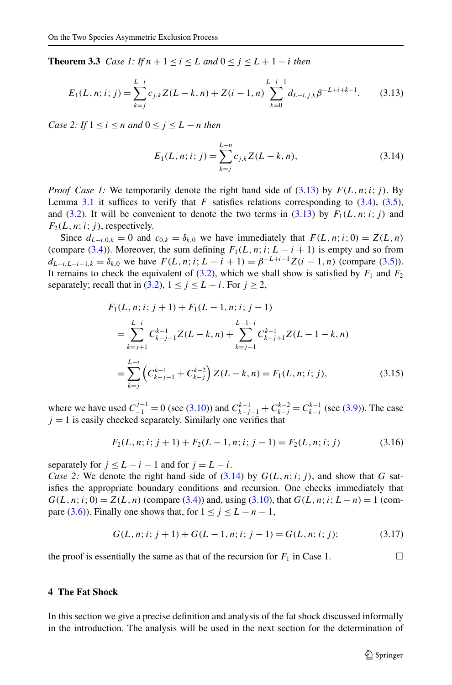<span id="page-10-0"></span>**Theorem 3.3** *Case 1:* If  $n + 1 \le i \le L$  *and*  $0 \le j \le L + 1 - i$  *then* 

$$
E_1(L, n; i; j) = \sum_{k=j}^{L-i} c_{j,k} Z(L-k, n) + Z(i-1, n) \sum_{k=0}^{L-i-1} d_{L-i, j,k} \beta^{-L+i+k-1}.
$$
 (3.13)

*Case 2: If*  $1 \le i \le n$  *and*  $0 \le j \le L - n$  *then* 

$$
E_1(L, n; i; j) = \sum_{k=j}^{L-n} c_{j,k} Z(L - k, n),
$$
\n(3.14)

*Proof Case 1:* We temporarily denote the right hand side of  $(3.13)$  by  $F(L, n; i; j)$ . By Lemma [3.1](#page-9-0) it suffices to verify that  $F$  satisfies relations corresponding to  $(3.4)$  $(3.4)$ ,  $(3.5)$  $(3.5)$ , and [\(3.2](#page-8-0)). It will be convenient to denote the two terms in (3.13) by  $F_1(L,n;i;j)$  and  $F_2(L, n; i; j)$ , respectively.

Since  $d_{L-i,0,k} = 0$  and  $c_{0,k} = \delta_{k,0}$  we have immediately that  $F(L,n;i; 0) = Z(L,n)$ (compare ([3.4\)](#page-8-0)). Moreover, the sum defining  $F_1(L, n; i; L - i + 1)$  is empty and so from *d*<sub>*L*−*i*</sub>,*L*<sub>−</sub>*i*+1,*k* = *δ<sub>k,0</sub>* we have *F*(*L,n*;*i*;*L* − *i* + 1) =  $β^{-L+i-1}Z(i - 1, n)$  (compare [\(3.5\)](#page-8-0)). It remains to check the equivalent of  $(3.2)$ , which we shall show is satisfied by  $F_1$  and  $F_2$ separately; recall that in [\(3.2\)](#page-8-0),  $1 \le j \le L - i$ . For  $j \ge 2$ ,

$$
F_1(L, n; i; j+1) + F_1(L-1, n; i; j-1)
$$
  
= 
$$
\sum_{k=j+1}^{L-i} C_{k-j-1}^{k-1} Z(L-k, n) + \sum_{k=j-1}^{L-1-i} C_{k-j+1}^{k-1} Z(L-1-k, n)
$$
  
= 
$$
\sum_{k=j}^{L-i} \left( C_{k-j-1}^{k-1} + C_{k-j}^{k-2} \right) Z(L-k, n) = F_1(L, n; i; j),
$$
 (3.15)

where we have used  $C_{-1}^{j-1} = 0$  (see [\(3.10\)](#page-9-0)) and  $C_{k-j-1}^{k-1} + C_{k-j}^{k-2} = C_{k-j}^{k-1}$  (see [\(3.9](#page-9-0))). The case  $j = 1$  is easily checked separately. Similarly one verifies that

$$
F_2(L, n; i; j+1) + F_2(L-1, n; i; j-1) = F_2(L, n; i; j)
$$
\n(3.16)

separately for  $j < L - i - 1$  and for  $j = L - i$ .

*Case 2:* We denote the right hand side of  $(3.14)$  by  $G(L, n; i; j)$ , and show that *G* satisfies the appropriate boundary conditions and recursion. One checks immediately that  $G(L, n; i; 0) = Z(L, n)$  (compare ([3.4](#page-8-0))) and, using ([3.10](#page-9-0)), that  $G(L, n; i; L - n) = 1$  (com-pare ([3.6](#page-8-0))). Finally one shows that, for  $1 \le j \le L - n - 1$ ,

$$
G(L, n; i; j+1) + G(L-1, n; i; j-1) = G(L, n; i; j); \tag{3.17}
$$

the proof is essentially the same as that of the recursion for  $F_1$  in Case 1.  $\Box$ 

# **4 The Fat Shock**

In this section we give a precise definition and analysis of the fat shock discussed informally in the introduction. The analysis will be used in the next section for the determination of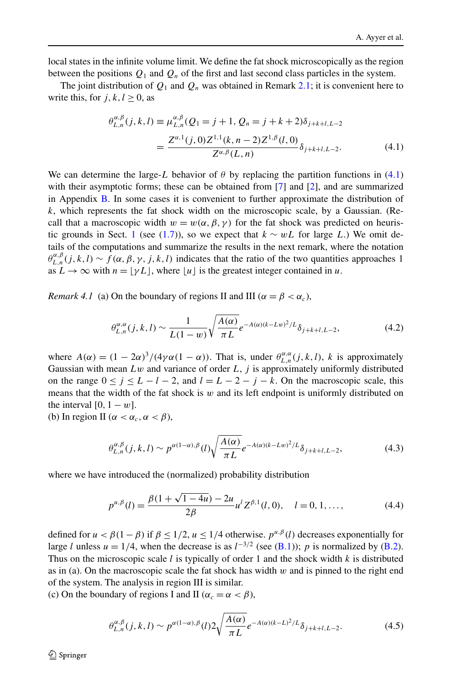<span id="page-11-0"></span>local states in the infinite volume limit. We define the fat shock microscopically as the region between the positions  $Q_1$  and  $Q_n$  of the first and last second class particles in the system.

The joint distribution of  $Q_1$  and  $Q_n$  was obtained in Remark [2.1](#page-7-0); it is convenient here to write this, for  $j, k, l > 0$ , as

$$
\theta_{L,n}^{\alpha,\beta}(j,k,l) \equiv \mu_{L,n}^{\alpha,\beta}(Q_1 = j+1, Q_n = j+k+2)\delta_{j+k+l,L-2}
$$

$$
= \frac{Z^{\alpha,1}(j,0)Z^{1,1}(k,n-2)Z^{1,\beta}(l,0)}{Z^{\alpha,\beta}(L,n)}\delta_{j+k+l,L-2}.
$$
(4.1)

We can determine the large-*L* behavior of  $\theta$  by replacing the partition functions in (4.1) with their asymptotic forms; these can be obtained from [[7](#page-27-0)] and [[2](#page-27-0)], and are summarized in Appendix [B.](#page-25-0) In some cases it is convenient to further approximate the distribution of *k*, which represents the fat shock width on the microscopic scale, by a Gaussian. (Recall that a macroscopic width  $w = w(\alpha, \beta, \gamma)$  for the fat shock was predicted on heuris-tic grounds in Sect. [1](#page-1-0) (see ([1.7\)](#page-5-0)), so we expect that  $k \sim wL$  for large *L*.) We omit details of the computations and summarize the results in the next remark, where the notation  $\theta_{L,n}^{\alpha,\beta}(j,k,l) \sim f(\alpha,\beta,\gamma,j,k,l)$  indicates that the ratio of the two quantities approaches 1 as  $L \to \infty$  with  $n = |\gamma L|$ , where |u| is the greatest integer contained in u.

*Remark 4.1* (a) On the boundary of regions II and III ( $\alpha = \beta < \alpha_c$ ),

$$
\theta_{L,n}^{\alpha,\alpha}(j,k,l) \sim \frac{1}{L(1-w)} \sqrt{\frac{A(\alpha)}{\pi L}} e^{-A(\alpha)(k-Lw)^2/L} \delta_{j+k+l,L-2},\tag{4.2}
$$

where  $A(\alpha) = (1 - 2\alpha)^3/(4\gamma\alpha(1 - \alpha))$ . That is, under  $\theta_{L,n}^{\alpha,\alpha}(j,k,l)$ , *k* is approximately Gaussian with mean *Lw* and variance of order *L*, *j* is approximately uniformly distributed on the range  $0 \le j \le L - l - 2$ , and  $l = L - 2 - j - k$ . On the macroscopic scale, this means that the width of the fat shock is  $w$  and its left endpoint is uniformly distributed on the interval  $[0, 1 - w]$ .

(b) In region II ( $\alpha < \alpha_c, \alpha < \beta$ ),

$$
\theta_{L,n}^{\alpha,\beta}(j,k,l) \sim p^{\alpha(1-\alpha),\beta}(l)\sqrt{\frac{A(\alpha)}{\pi L}}e^{-A(\alpha)(k-Lw)^2/L}\delta_{j+k+l,L-2},\tag{4.3}
$$

where we have introduced the (normalized) probability distribution

$$
p^{u,\beta}(l) = \frac{\beta(1 + \sqrt{1 - 4u}) - 2u}{2\beta} u^l Z^{\beta,1}(l,0), \quad l = 0, 1, ..., \tag{4.4}
$$

defined for  $u < \beta(1-\beta)$  if  $\beta \le 1/2$ ,  $u \le 1/4$  otherwise.  $p^{\mu,\beta}(l)$  decreases exponentially for large *l* unless  $u = 1/4$ , when the decrease is as  $l^{-3/2}$  (see [\(B.1\)](#page-25-0)); *p* is normalized by ([B.2](#page-25-0)). Thus on the microscopic scale *l* is typically of order 1 and the shock width *k* is distributed as in (a). On the macroscopic scale the fat shock has width *w* and is pinned to the right end of the system. The analysis in region III is similar.

(c) On the boundary of regions I and II ( $\alpha_c = \alpha < \beta$ ),

$$
\theta_{L,n}^{\alpha,\beta}(j,k,l) \sim p^{\alpha(1-\alpha),\beta}(l)2\sqrt{\frac{A(\alpha)}{\pi L}}e^{-A(\alpha)(k-L)^2/L}\delta_{j+k+l,L-2}.
$$
\n(4.5)

 $\mathcal{D}$  Springer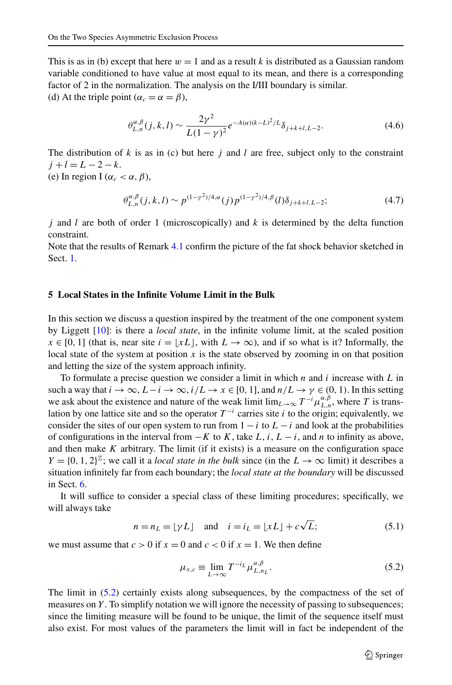<span id="page-12-0"></span>This is as in (b) except that here  $w = 1$  and as a result k is distributed as a Gaussian random variable conditioned to have value at most equal to its mean, and there is a corresponding factor of 2 in the normalization. The analysis on the I/III boundary is similar. (d) At the triple point ( $\alpha_c = \alpha = \beta$ ),

$$
\theta_{L,n}^{\alpha,\beta}(j,k,l) \sim \frac{2\gamma^2}{L(1-\gamma)^2} e^{-A(\alpha)(k-L)^2/L} \delta_{j+k+l,L-2}.
$$
\n(4.6)

The distribution of *k* is as in (c) but here *j* and *l* are free, subject only to the constraint  $j + l = L - 2 - k$ .

(e) In region I ( $\alpha_c < \alpha, \beta$ ),

$$
\theta_{L,n}^{\alpha,\beta}(j,k,l) \sim p^{(1-\gamma^2)/4,\alpha}(j) p^{(1-\gamma^2)/4,\beta}(l) \delta_{j+k+l,L-2};\tag{4.7}
$$

*j* and *l* are both of order 1 (microscopically) and *k* is determined by the delta function constraint.

Note that the results of Remark [4.1](#page-11-0) confirm the picture of the fat shock behavior sketched in Sect. [1.](#page-1-0)

# **5 Local States in the Infinite Volume Limit in the Bulk**

In this section we discuss a question inspired by the treatment of the one component system by Liggett [[10](#page-27-0)]: is there a *local state*, in the infinite volume limit, at the scaled position  $x \in [0, 1]$  (that is, near site  $i = \lfloor xL \rfloor$ , with  $L \to \infty$ ), and if so what is it? Informally, the local state of the system at position  $x$  is the state observed by zooming in on that position and letting the size of the system approach infinity.

To formulate a precise question we consider a limit in which *n* and *i* increase with *L* in such a way that  $i \to \infty$ ,  $L - i \to \infty$ ,  $i/L \to x \in [0, 1]$ , and  $n/L \to \gamma \in (0, 1)$ . In this setting we ask about the existence and nature of the weak limit  $\lim_{L\to\infty} T^{-i}\mu_{L,n}^{\alpha,\beta}$ , where *T* is translation by one lattice site and so the operator  $T^{-i}$  carries site *i* to the origin; equivalently, we consider the sites of our open system to run from  $1 - i$  to  $L - i$  and look at the probabilities of configurations in the interval from  $-K$  to  $K$ , take  $L$ ,  $i$ ,  $L - i$ , and  $n$  to infinity as above, and then make  $K$  arbitrary. The limit (if it exists) is a measure on the configuration space  $Y = \{0, 1, 2\}^{\mathbb{Z}}$ ; we call it a *local state in the bulk* since (in the  $L \rightarrow \infty$  limit) it describes a situation infinitely far from each boundary; the *local state at the boundary* will be discussed in Sect. [6](#page-17-0).

It will suffice to consider a special class of these limiting procedures; specifically, we will always take

$$
n = n_L = \lfloor \gamma L \rfloor
$$
 and  $i = i_L = \lfloor xL \rfloor + c\sqrt{L};$  (5.1)

we must assume that  $c > 0$  if  $x = 0$  and  $c < 0$  if  $x = 1$ . We then define

$$
\mu_{x,c} \equiv \lim_{L \to \infty} T^{-i_L} \mu_{L,n_L}^{\alpha,\beta}.
$$
\n(5.2)

The limit in (5.2) certainly exists along subsequences, by the compactness of the set of measures on *Y*. To simplify notation we will ignore the necessity of passing to subsequences; since the limiting measure will be found to be unique, the limit of the sequence itself must also exist. For most values of the parameters the limit will in fact be independent of the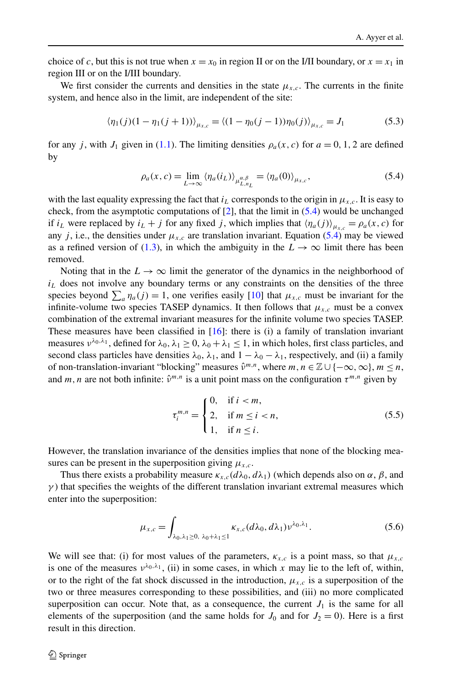<span id="page-13-0"></span>choice of *c*, but this is not true when  $x = x_0$  in region II or on the I/II boundary, or  $x = x_1$  in region III or on the I/III boundary.

We first consider the currents and densities in the state  $\mu_{x,c}$ . The currents in the finite system, and hence also in the limit, are independent of the site:

$$
\langle \eta_1(j)(1 - \eta_1(j+1)) \rangle_{\mu_{x,c}} = \langle (1 - \eta_0(j-1)) \eta_0(j) \rangle_{\mu_{x,c}} = J_1 \tag{5.3}
$$

for any *j*, with *J*<sub>1</sub> given in ([1.1\)](#page-2-0). The limiting densities  $\rho_a(x, c)$  for  $a = 0, 1, 2$  are defined by

$$
\rho_a(x,c) = \lim_{L \to \infty} \langle \eta_a(i_L) \rangle_{\mu_{L,n_L}^{a,\beta}} = \langle \eta_a(0) \rangle_{\mu_{x,c}},
$$
\n(5.4)

with the last equality expressing the fact that  $i_L$  corresponds to the origin in  $\mu_{x,c}$ . It is easy to check, from the asymptotic computations of  $[2]$  $[2]$  $[2]$ , that the limit in  $(5.4)$  would be unchanged if  $i_L$  were replaced by  $i_L + j$  for any fixed *j*, which implies that  $\langle \eta_a(j) \rangle_{\mu_{x,c}} = \rho_a(x, c)$  for any *j*, i.e., the densities under  $\mu_{x,c}$  are translation invariant. Equation (5.4) may be viewed as a refined version of [\(1.3](#page-2-0)), in which the ambiguity in the  $L \rightarrow \infty$  limit there has been removed.

Noting that in the  $L \to \infty$  limit the generator of the dynamics in the neighborhood of  $i_l$  does not involve any boundary terms or any constraints on the densities of the three species beyond  $\sum_a \eta_a(j) = 1$ , one verifies easily [[10](#page-27-0)] that  $\mu_{x,c}$  must be invariant for the infinite-volume two species TASEP dynamics. It then follows that  $\mu_{x,c}$  must be a convex combination of the extremal invariant measures for the infinite volume two species TASEP. These measures have been classified in  $[16]$ : there is (i) a family of translation invariant measures  $v^{\lambda_0, \lambda_1}$ , defined for  $\lambda_0, \lambda_1 \geq 0$ ,  $\lambda_0 + \lambda_1 \leq 1$ , in which holes, first class particles, and second class particles have densities  $\lambda_0$ ,  $\lambda_1$ , and  $1 - \lambda_0 - \lambda_1$ , respectively, and (ii) a family of non-translation-invariant "blocking" measures  $\hat{v}^{m,n}$ , where  $m, n \in \mathbb{Z} \cup \{-\infty, \infty\}, m \leq n$ , and *m, n* are not both infinite:  $\hat{v}^{m,n}$  is a unit point mass on the configuration  $\tau^{m,n}$  given by

$$
\tau_i^{m,n} = \begin{cases} 0, & \text{if } i < m, \\ 2, & \text{if } m \le i < n, \\ 1, & \text{if } n \le i. \end{cases}
$$
 (5.5)

However, the translation invariance of the densities implies that none of the blocking measures can be present in the superposition giving  $\mu_{x,c}$ .

Thus there exists a probability measure  $\kappa_{x,c}(d\lambda_0, d\lambda_1)$  (which depends also on  $\alpha, \beta$ , and  $\gamma$ ) that specifies the weights of the different translation invariant extremal measures which enter into the superposition:

$$
\mu_{x,c} = \int_{\lambda_0, \lambda_1 \ge 0, \ \lambda_0 + \lambda_1 \le 1} \kappa_{x,c}(d\lambda_0, d\lambda_1) \nu^{\lambda_0, \lambda_1}.
$$
 (5.6)

We will see that: (i) for most values of the parameters,  $\kappa_{x,c}$  is a point mass, so that  $\mu_{x,c}$ is one of the measures  $v^{\lambda_0, \lambda_1}$ , (ii) in some cases, in which *x* may lie to the left of, within, or to the right of the fat shock discussed in the introduction,  $\mu_{x,c}$  is a superposition of the two or three measures corresponding to these possibilities, and (iii) no more complicated superposition can occur. Note that, as a consequence, the current  $J_1$  is the same for all elements of the superposition (and the same holds for  $J_0$  and for  $J_2 = 0$ ). Here is a first result in this direction.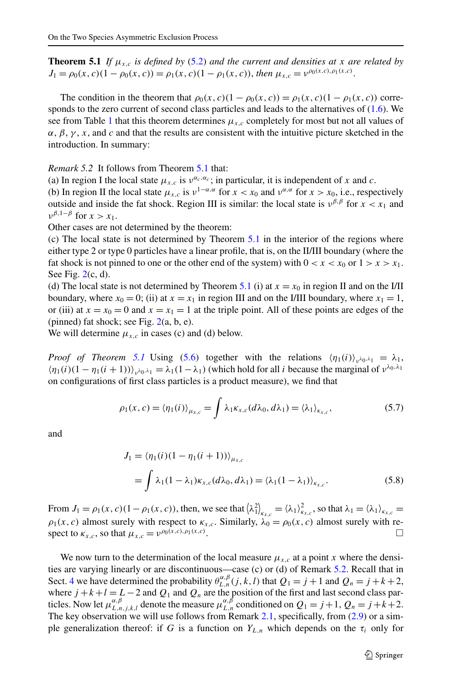<span id="page-14-0"></span>**Theorem 5.1** *If*  $\mu_{x,c}$  *is defined by* ([5.2\)](#page-12-0) *and the current and densities at x are related by*  $J_1 = \rho_0(x, c)(1 - \rho_0(x, c)) = \rho_1(x, c)(1 - \rho_1(x, c))$ , *then*  $\mu_{x, c} = \nu^{\rho_0(x, c), \rho_1(x, c)}$ .

The condition in the theorem that  $\rho_0(x, c)(1 - \rho_0(x, c)) = \rho_1(x, c)(1 - \rho_1(x, c))$  corresponds to the zero current of second class particles and leads to the alternatives of ([1.6](#page-3-0)). We see from Table [1](#page-2-0) that this theorem determines  $\mu_{x,c}$  completely for most but not all values of  $\alpha$ ,  $\beta$ ,  $\gamma$ , *x*, and *c* and that the results are consistent with the intuitive picture sketched in the introduction. In summary:

*Remark 5.2* It follows from Theorem 5.1 that:

(a) In region I the local state  $\mu_{x,c}$  is  $v^{\alpha_c,\alpha_c}$ ; in particular, it is independent of *x* and *c*.

(b) In region II the local state  $\mu_{x,c}$  is  $\nu^{1-\alpha,\alpha}$  for  $x < x_0$  and  $\nu^{\alpha,\alpha}$  for  $x > x_0$ , i.e., respectively outside and inside the fat shock. Region III is similar: the local state is  $v^{\beta,\beta}$  for  $x < x_1$  and  $v^{\beta, 1-\beta}$  for  $x > x_1$ .

Other cases are not determined by the theorem:

(c) The local state is not determined by Theorem 5.1 in the interior of the regions where either type 2 or type 0 particles have a linear profile, that is, on the II/III boundary (where the fat shock is not pinned to one or the other end of the system) with  $0 < x < x_0$  or  $1 > x > x_1$ . See Fig.  $2(c, d)$  $2(c, d)$ .

(d) The local state is not determined by Theorem 5.1 (i) at  $x = x_0$  in region II and on the I/II boundary, where  $x_0 = 0$ ; (ii) at  $x = x_1$  in region III and on the I/III boundary, where  $x_1 = 1$ , or (iii) at  $x = x_0 = 0$  and  $x = x_1 = 1$  at the triple point. All of these points are edges of the (pinned) fat shock; see Fig.  $2(a, b, e)$  $2(a, b, e)$ .

We will determine  $\mu_{x,c}$  in cases (c) and (d) below.

*Proof of Theorem 5.1* Using [\(5.6](#page-13-0)) together with the relations  $\langle \eta_1(i) \rangle_{n \lambda_0, \lambda_1} = \lambda_1$ ,  $\langle \eta_1(i)(1 - \eta_1(i+1)) \rangle_{\alpha \lambda_0 \lambda_1} = \lambda_1(1 - \lambda_1)$  (which hold for all *i* because the marginal of  $\nu^{\lambda_0, \lambda_1}$ on configurations of first class particles is a product measure), we find that

$$
\rho_1(x,c) = \langle \eta_1(i) \rangle_{\mu_{x,c}} = \int \lambda_1 \kappa_{x,c}(d\lambda_0, d\lambda_1) = \langle \lambda_1 \rangle_{\kappa_{x,c}},
$$
\n(5.7)

and

$$
J_1 = \langle \eta_1(i)(1 - \eta_1(i+1)) \rangle_{\mu_{x,c}}
$$
  
=  $\int \lambda_1(1 - \lambda_1)\kappa_{x,c}(d\lambda_0, d\lambda_1) = \langle \lambda_1(1 - \lambda_1) \rangle_{\kappa_{x,c}}.$  (5.8)

From  $J_1 = \rho_1(x, c) (1 - \rho_1(x, c))$ , then, we see that  $\left\langle \lambda_1^2 \right\rangle_{\kappa_{x,c}} = \left\langle \lambda_1 \right\rangle_{\kappa_{x,c}}^2$ , so that  $\lambda_1 = \left\langle \lambda_1 \right\rangle_{\kappa_{x,c}} =$  $\rho_1(x, c)$  almost surely with respect to  $\kappa_{x,c}$ . Similarly,  $\lambda_0 = \rho_0(x, c)$  almost surely with respect to  $\kappa_{x,c}$ , so that  $\mu_{x,c} = v^{\rho_0(x,c),\rho_1(x,c)}$ .

We now turn to the determination of the local measure  $\mu_{x,c}$  at a point *x* where the densities are varying linearly or are discontinuous—case (c) or (d) of Remark 5.2. Recall that in Sect. [4](#page-10-0) we have determined the probability  $\theta_{L,n}^{\alpha,\beta}(j,k,l)$  that  $Q_1 = j + 1$  and  $Q_n = j + k + 2$ , where  $j + k + l = L - 2$  and  $Q_1$  and  $Q_n$  are the position of the first and last second class particles. Now let  $\mu_{L,n,j,k,l}^{\alpha,\beta}$  denote the measure  $\mu_{L,n}^{\alpha,\beta}$  conditioned on  $Q_1 = j+1, Q_n = j+k+2$ . The key observation we will use follows from Remark [2.1](#page-7-0), specifically, from ([2.9\)](#page-7-0) or a simple generalization thereof: if *G* is a function on  $Y_{L,n}$  which depends on the  $\tau_i$  only for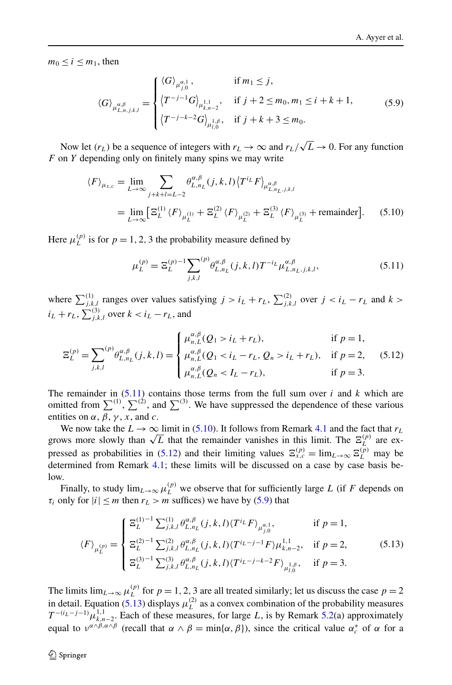<span id="page-15-0"></span> $m_0 < i < m_1$ , then

$$
\langle G \rangle_{\mu_{L,n,j,k,l}^{\alpha,\beta}} = \begin{cases} \langle G \rangle_{\mu_{j,0}^{\alpha,1}}, & \text{if } m_1 \leq j, \\ \langle T^{-j-1}G \rangle_{\mu_{k,n-2}^{1,1}}, & \text{if } j+2 \leq m_0, m_1 \leq i+k+1, \\ \langle T^{-j-k-2}G \rangle_{\mu_{l,0}^{1,\beta}}, & \text{if } j+k+3 \leq m_0. \end{cases}
$$
(5.9)

Now let  $(r_L)$  be a sequence of integers with  $r_L \to \infty$  and  $r_L/\sqrt{L} \to 0$ . For any function *F* on *Y* depending only on finitely many spins we may write

$$
\langle F \rangle_{\mu_{x,c}} = \lim_{L \to \infty} \sum_{j+k+l=L-2} \theta_{L,n_L}^{\alpha, \beta}(j,k,l) \langle T^{i_L} F \rangle_{\mu_{L,n_L,j,k,l}^{\alpha, \beta}}
$$
  
= 
$$
\lim_{L \to \infty} \left[ \Xi_L^{(1)} \langle F \rangle_{\mu_L^{(1)}} + \Xi_L^{(2)} \langle F \rangle_{\mu_L^{(2)}} + \Xi_L^{(3)} \langle F \rangle_{\mu_L^{(3)}} + \text{remainder} \right].
$$
 (5.10)

Here  $\mu_L^{(p)}$  is for  $p = 1, 2, 3$  the probability measure defined by

$$
\mu_L^{(p)} = \Xi_L^{(p)}{}^{-1} \sum_{j,k,l}^{(p)} \theta_{L,n_L}^{\alpha,\beta}(j,k,l) T^{-i_L} \mu_{L,n_L,j,k,l}^{\alpha,\beta},\tag{5.11}
$$

where  $\sum_{j,k,l}^{(1)}$  ranges over values satisfying  $j > i_L + r_L$ ,  $\sum_{j,k,l}^{(2)}$  over  $j < i_L - r_L$  and  $k >$  $i_L + r_L$ ,  $\sum_{j,k,l}^{(3)}$  over  $k < i_L - r_L$ , and

$$
\Xi_{L}^{(p)} = \sum_{j,k,l}^{(p)} \theta_{L,n_{L}}^{\alpha,\beta}(j,k,l) = \begin{cases} \mu_{n,L}^{\alpha,\beta}(Q_{1} > i_{L} + r_{L}), & \text{if } p = 1, \\ \mu_{n,L}^{\alpha,\beta}(Q_{1} < i_{L} - r_{L}, Q_{n} > i_{L} + r_{L}), & \text{if } p = 2, \\ \mu_{n,L}^{\alpha,\beta}(Q_{n} < I_{L} - r_{L}), & \text{if } p = 3. \end{cases}
$$
(5.12)

The remainder in  $(5.11)$  contains those terms from the full sum over *i* and *k* which are omitted from  $\sum^{(1)}$ ,  $\sum^{(2)}$ , and  $\sum^{(3)}$ . We have suppressed the dependence of these various entities on  $\alpha$ ,  $\beta$ ,  $\gamma$ ,  $x$ , and  $c$ .

We now take the  $L \rightarrow \infty$  limit in (5.10). It follows from Remark [4.1](#page-11-0) and the fact that  $r_L$ we now take the  $L \to \infty$  limit in (5.10). It follows from Kemark 4.1 and the ract that  $r_L$  grows more slowly than  $\sqrt{L}$  that the remainder vanishes in this limit. The  $\Xi_L^{(p)}$  are expressed as probabilities in (5.12) and their limiting values  $\Xi_{x,c}^{(p)} = \lim_{L \to \infty} \Xi_L^{(p)}$  may be determined from Remark [4.1](#page-11-0); these limits will be discussed on a case by case basis below.

Finally, to study  $\lim_{L\to\infty}\mu_L^{(p)}$  we observe that for sufficiently large *L* (if *F* depends on *τ<sub>i</sub>* only for  $|i| \le m$  then  $r_L > m$  suffices) we have by (5.9) that

$$
\langle F \rangle_{\mu_L^{(p)}} = \begin{cases} \Xi_L^{(1)-1} \sum_{j,k,l}^{(1)} \theta_{L,n_L}^{\alpha,\beta}(j,k,l) \langle T^{i_L} F \rangle_{\mu_{j,0}^{\alpha,1}}, & \text{if } p = 1, \\ \Xi_L^{(2)-1} \sum_{j,k,l}^{(2)} \theta_{L,n_L}^{\alpha,\beta}(j,k,l) \langle T^{i_L-j-1} F \rangle \mu_{k,n-2}^{1,1}, & \text{if } p = 2, \\ \Xi_L^{(3)-1} \sum_{j,k,l}^{(3)} \theta_{L,n_L}^{\alpha,\beta}(j,k,l) \langle T^{i_L-j-k-2} F \rangle_{\mu_{l,0}^{1,\beta}}, & \text{if } p = 3. \end{cases}
$$
(5.13)

The limits  $\lim_{L\to\infty}\mu_L^{(p)}$  for  $p=1,2,3$  are all treated similarly; let us discuss the case  $p=2$ in detail. Equation (5.13) displays  $\mu_L^{(2)}$  as a convex combination of the probability measures  $T^{-(i_L-j-1)} \mu_{k,n-2}^{1,1}$ . Each of these measures, for large *L*, is by Remark [5.2\(](#page-14-0)a) approximately equal to  $v^{\alpha \wedge \beta, \alpha \wedge \beta}$  (recall that  $\alpha \wedge \beta = \min{\{\alpha, \beta\}}$ ), since the critical value  $\alpha_c^*$  of  $\alpha$  for a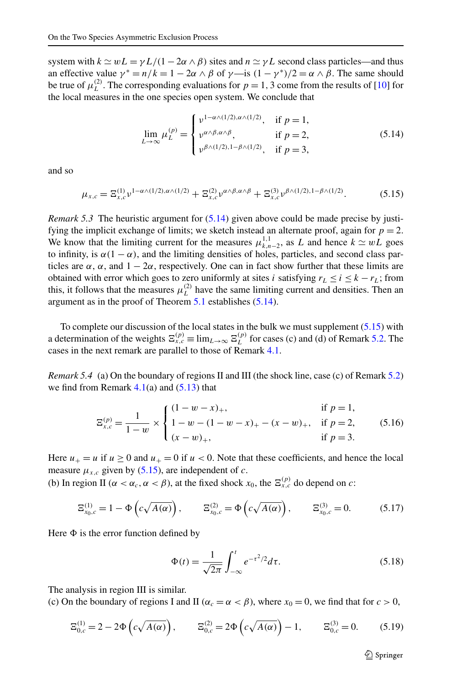<span id="page-16-0"></span>system with  $k \approx wL = \gamma L/(1 - 2\alpha \wedge \beta)$  sites and  $n \approx \gamma L$  second class particles—and thus an effective value  $\gamma^* = n/k = 1 - 2\alpha \wedge \beta$  of  $\gamma$ —is  $(1 - \gamma^*)/2 = \alpha \wedge \beta$ . The same should be true of  $\mu_L^{(2)}$ . The corresponding evaluations for  $p = 1, 3$  come from the results of [[10](#page-27-0)] for the local measures in the one species open system. We conclude that

$$
\lim_{L \to \infty} \mu_L^{(p)} = \begin{cases} \nu^{1 - \alpha \wedge (1/2), \alpha \wedge (1/2)}, & \text{if } p = 1, \\ \nu^{\alpha \wedge \beta, \alpha \wedge \beta}, & \text{if } p = 2, \\ \nu^{\beta \wedge (1/2), 1 - \beta \wedge (1/2)}, & \text{if } p = 3, \end{cases}
$$
(5.14)

and so

$$
\mu_{x,c} = \mathbb{E}_{x,c}^{(1)} v^{1-\alpha\wedge(1/2),\alpha\wedge(1/2)} + \mathbb{E}_{x,c}^{(2)} v^{\alpha\wedge\beta,\alpha\wedge\beta} + \mathbb{E}_{x,c}^{(3)} v^{\beta\wedge(1/2),1-\beta\wedge(1/2)}.
$$
(5.15)

*Remark 5.3* The heuristic argument for  $(5.14)$  given above could be made precise by justifying the implicit exchange of limits; we sketch instead an alternate proof, again for  $p = 2$ . We know that the limiting current for the measures  $\mu_{k,n-2}^{1,1}$ , as *L* and hence  $k \simeq wL$  goes to infinity, is  $\alpha(1-\alpha)$ , and the limiting densities of holes, particles, and second class particles are  $\alpha$ ,  $\alpha$ , and  $1 - 2\alpha$ , respectively. One can in fact show further that these limits are obtained with error which goes to zero uniformly at sites *i* satisfying  $r_L \le i \le k - r_L$ ; from this, it follows that the measures  $\mu_L^{(2)}$  have the same limiting current and densities. Then an argument as in the proof of Theorem [5.1](#page-14-0) establishes (5.14).

To complete our discussion of the local states in the bulk we must supplement  $(5.15)$  with a determination of the weights  $\Xi_{x,c}^{(p)} \equiv \lim_{L \to \infty} \Xi_L^{(p)}$  for cases (c) and (d) of Remark [5.2](#page-14-0). The cases in the next remark are parallel to those of Remark [4.1.](#page-11-0)

*Remark 5.4* (a) On the boundary of regions II and III (the shock line, case (c) of Remark [5.2](#page-14-0)) we find from Remark  $4.1(a)$  $4.1(a)$  and  $(5.13)$  that

$$
\Xi_{x,c}^{(p)} = \frac{1}{1-w} \times \begin{cases} (1-w-x)_+, & \text{if } p=1, \\ 1-w - (1-w-x)_+ - (x-w)_+, & \text{if } p=2, \\ (x-w)_+, & \text{if } p=3. \end{cases}
$$
(5.16)

Here  $u_+ = u$  if  $u \ge 0$  and  $u_+ = 0$  if  $u < 0$ . Note that these coefficients, and hence the local measure  $\mu_{x,c}$  given by (5.15), are independent of *c*.

(b) In region II ( $\alpha < \alpha_c$ ,  $\alpha < \beta$ ), at the fixed shock  $x_0$ , the  $\Xi_{x,c}^{(p)}$  do depend on *c*:

$$
\Xi_{x_0,c}^{(1)} = 1 - \Phi\left(c\sqrt{A(\alpha)}\right), \qquad \Xi_{x_0,c}^{(2)} = \Phi\left(c\sqrt{A(\alpha)}\right), \qquad \Xi_{x_0,c}^{(3)} = 0. \tag{5.17}
$$

Here  $\Phi$  is the error function defined by

$$
\Phi(t) = \frac{1}{\sqrt{2\pi}} \int_{-\infty}^{t} e^{-\tau^2/2} d\tau.
$$
\n(5.18)

The analysis in region III is similar.

(c) On the boundary of regions I and II ( $\alpha_c = \alpha < \beta$ ), where  $x_0 = 0$ , we find that for  $c > 0$ ,

$$
\Xi_{0,c}^{(1)} = 2 - 2\Phi\left(c\sqrt{A(\alpha)}\right), \qquad \Xi_{0,c}^{(2)} = 2\Phi\left(c\sqrt{A(\alpha)}\right) - 1, \qquad \Xi_{0,c}^{(3)} = 0. \tag{5.19}
$$

 $\textcircled{2}$  Springer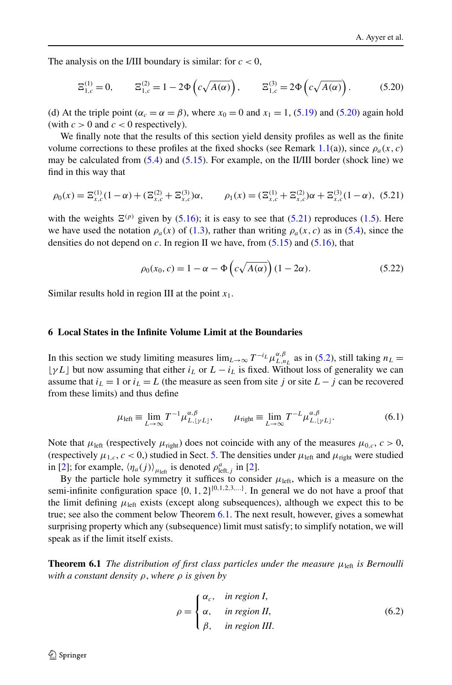<span id="page-17-0"></span>The analysis on the I/III boundary is similar: for  $c < 0$ ,

$$
\Xi_{1,c}^{(1)} = 0, \qquad \Xi_{1,c}^{(2)} = 1 - 2\Phi\left(c\sqrt{A(\alpha)}\right), \qquad \Xi_{1,c}^{(3)} = 2\Phi\left(c\sqrt{A(\alpha)}\right). \tag{5.20}
$$

(d) At the triple point ( $\alpha_c = \alpha = \beta$ ), where  $x_0 = 0$  and  $x_1 = 1$ , ([5.19](#page-16-0)) and (5.20) again hold (with  $c > 0$  and  $c < 0$  respectively).

We finally note that the results of this section yield density profiles as well as the finite volume corrections to these profiles at the fixed shocks (see Remark [1.1](#page-3-0)(a)), since  $\rho_a(x, c)$ may be calculated from  $(5.4)$  and  $(5.15)$ . For example, on the II/III border (shock line) we find in this way that

$$
\rho_0(x) = \Xi_{x,c}^{(1)}(1-\alpha) + (\Xi_{x,c}^{(2)} + \Xi_{x,c}^{(3)})\alpha, \qquad \rho_1(x) = (\Xi_{x,c}^{(1)} + \Xi_{x,c}^{(2)})\alpha + \Xi_{x,c}^{(3)}(1-\alpha),
$$
 (5.21)

with the weights  $\Xi^{(p)}$  given by ([5.16](#page-16-0)); it is easy to see that (5.21) reproduces ([1.5](#page-3-0)). Here we have used the notation  $\rho_a(x)$  of [\(1.3](#page-2-0)), rather than writing  $\rho_a(x, c)$  as in ([5.4](#page-13-0)), since the densities do not depend on *c*. In region II we have, from [\(5.15\)](#page-16-0) and ([5.16](#page-16-0)), that

$$
\rho_0(x_0, c) = 1 - \alpha - \Phi\left(c\sqrt{A(\alpha)}\right)(1 - 2\alpha). \tag{5.22}
$$

Similar results hold in region III at the point *x*1.

# **6 Local States in the Infinite Volume Limit at the Boundaries**

In this section we study limiting measures  $\lim_{L\to\infty} T^{-i_L} \mu_{L,n_L}^{\alpha,\beta}$  as in ([5.2\)](#page-12-0), still taking  $n_L =$  $\lfloor \gamma L \rfloor$  but now assuming that either  $i_L$  or  $L - i_L$  is fixed. Without loss of generality we can assume that  $i_L = 1$  or  $i_L = L$  (the measure as seen from site *j* or site  $L - j$  can be recovered from these limits) and thus define

$$
\mu_{\text{left}} \equiv \lim_{L \to \infty} T^{-1} \mu_{L, \lfloor \gamma L \rfloor}^{\alpha, \beta}, \qquad \mu_{\text{right}} \equiv \lim_{L \to \infty} T^{-L} \mu_{L, \lfloor \gamma L \rfloor}^{\alpha, \beta}.
$$
 (6.1)

Note that  $\mu_{\text{left}}$  (respectively  $\mu_{\text{right}}$ ) does not coincide with any of the measures  $\mu_{0,c}$ ,  $c > 0$ , (respectively  $\mu_{1,c}$ ,  $c < 0$ ,) studied in Sect. [5.](#page-12-0) The densities under  $\mu_{\text{left}}$  and  $\mu_{\text{right}}$  were studied in [[2](#page-27-0)]; for example,  $\langle \eta_a(j) \rangle_{\mu_{\text{left}}}$  is denoted  $\rho_{\text{left},j}^a$  in [\[2](#page-27-0)].

By the particle hole symmetry it suffices to consider  $\mu_{\text{left}}$ , which is a measure on the semi-infinite configuration space {0*,* 1*,* 2}{0*,*1*,*2*,*3*,...*} . In general we do not have a proof that the limit defining  $\mu_{\text{left}}$  exists (except along subsequences), although we expect this to be true; see also the comment below Theorem 6.1. The next result, however, gives a somewhat surprising property which any (subsequence) limit must satisfy; to simplify notation, we will speak as if the limit itself exists.

**Theorem 6.1** *The distribution of first class particles under the measure*  $\mu_{\text{left}}$  *is Bernoulli with a constant density ρ*, *where ρ is given by*

$$
\rho = \begin{cases} \alpha_c, & \text{in region } I, \\ \alpha, & \text{in region } II, \\ \beta, & \text{in region } III. \end{cases}
$$
 (6.2)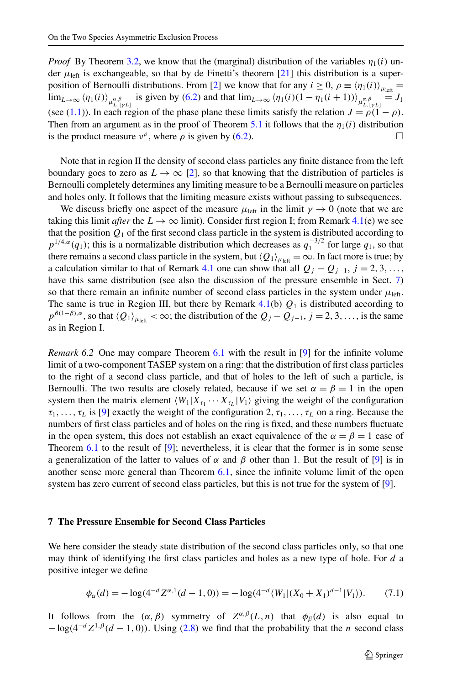<span id="page-18-0"></span>*Proof* By Theorem [3.2,](#page-9-0) we know that the (marginal) distribution of the variables  $\eta_1(i)$  under  $\mu_{\text{left}}$  is exchangeable, so that by de Finetti's theorem [[21](#page-28-0)] this distribution is a super-position of Bernoulli distributions. From [\[2](#page-27-0)] we know that for any  $i \ge 0$ ,  $\rho \equiv \langle \eta_1(i) \rangle_{\mu_{\text{left}}}$  $\lim_{L\to\infty} \langle \eta_1(i) \rangle_{\mu_{L,\lfloor yL\rfloor}^{\alpha,\beta}}$  is given by [\(6.2](#page-17-0)) and that  $\lim_{L\to\infty} \langle \eta_1(i)(1-\eta_1(i+1)) \rangle_{\mu_{L,\lfloor yL\rfloor}^{\alpha,\beta}} = J_1$ (see ([1.1\)](#page-2-0)). In each region of the phase plane these limits satisfy the relation  $J = \rho(1 - \rho)$ . Then from an argument as in the proof of Theorem [5.1](#page-14-0) it follows that the  $\eta_1(i)$  distribution is the product measure  $v^{\rho}$ , where  $\rho$  is given by [\(6.2](#page-17-0)).

Note that in region II the density of second class particles any finite distance from the left boundary goes to zero as  $L \to \infty$  [\[2\]](#page-27-0), so that knowing that the distribution of particles is Bernoulli completely determines any limiting measure to be a Bernoulli measure on particles and holes only. It follows that the limiting measure exists without passing to subsequences.

We discuss briefly one aspect of the measure  $\mu_{\text{left}}$  in the limit  $\gamma \to 0$  (note that we are taking this limit *after* the  $L \rightarrow \infty$  limit). Consider first region I; from Remark [4.1](#page-11-0)(e) we see that the position  $Q_1$  of the first second class particle in the system is distributed according to  $p^{1/4,\alpha}(q_1)$ ; this is a normalizable distribution which decreases as  $q_1^{-3/2}$  for large  $q_1$ , so that there remains a second class particle in the system, but  $\langle Q_1 \rangle_{\mu_{\text{left}}} = \infty$ . In fact more is true; by a calculation similar to that of Remark [4.1](#page-11-0) one can show that all  $Q_j - Q_{j-1}$ ,  $j = 2, 3, \ldots$ , have this same distribution (see also the discussion of the pressure ensemble in Sect. 7) so that there remain an infinite number of second class particles in the system under  $\mu_{\text{left}}$ . The same is true in Region III, but there by Remark  $4.1(b)$  $4.1(b)$   $Q_1$  is distributed according to  $p^{\beta(1-\beta),\alpha}$ , so that  $\langle Q_1 \rangle_{\mu_{\text{left}}} < \infty$ ; the distribution of the  $Q_j - Q_{j-1}, j = 2, 3, \ldots$ , is the same as in Region I.

*Remark 6.2* One may compare Theorem [6.1](#page-17-0) with the result in [[9](#page-27-0)] for the infinite volume limit of a two-component TASEP system on a ring: that the distribution of first class particles to the right of a second class particle, and that of holes to the left of such a particle, is Bernoulli. The two results are closely related, because if we set  $\alpha = \beta = 1$  in the open system then the matrix element  $\langle W_1 | X_{\tau_1} \cdots X_{\tau_L} | V_1 \rangle$  giving the weight of the configuration  $\tau_1, \ldots, \tau_L$  is [[9\]](#page-27-0) exactly the weight of the configuration 2,  $\tau_1, \ldots, \tau_L$  on a ring. Because the numbers of first class particles and of holes on the ring is fixed, and these numbers fluctuate in the open system, this does not establish an exact equivalence of the  $\alpha = \beta = 1$  case of Theorem  $6.1$  to the result of [[9\]](#page-27-0); nevertheless, it is clear that the former is in some sense a generalization of the latter to values of  $\alpha$  and  $\beta$  other than 1. But the result of [[9](#page-27-0)] is in another sense more general than Theorem [6.1,](#page-17-0) since the infinite volume limit of the open system has zero current of second class particles, but this is not true for the system of [[9](#page-27-0)].

# **7 The Pressure Ensemble for Second Class Particles**

We here consider the steady state distribution of the second class particles only, so that one may think of identifying the first class particles and holes as a new type of hole. For *d* a positive integer we define

$$
\phi_{\alpha}(d) = -\log(4^{-d} Z^{\alpha,1}(d-1,0)) = -\log(4^{-d} \langle W_1 | (X_0 + X_1)^{d-1} | V_1 \rangle). \tag{7.1}
$$

It follows from the  $(\alpha, \beta)$  symmetry of  $Z^{\alpha, \beta}(L,n)$  that  $\phi_{\beta}(d)$  is also equal to  $-\log(4^{-d}Z^{1,\beta}(d-1,0))$ . Using [\(2.8](#page-7-0)) we find that the probability that the *n* second class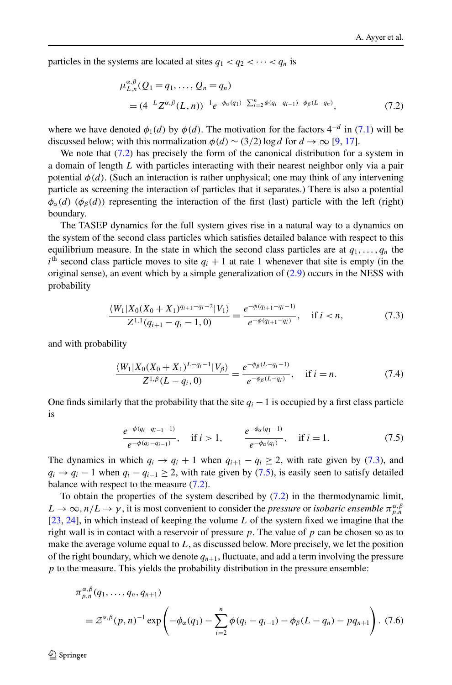<span id="page-19-0"></span>particles in the systems are located at sites  $q_1 < q_2 < \cdots < q_n$  is

$$
\mu_{L,n}^{\alpha,\beta}(Q_1 = q_1, \dots, Q_n = q_n)
$$
  
=  $(4^{-L}Z^{\alpha,\beta}(L,n))^{-1}e^{-\phi_{\alpha}(q_1) - \sum_{i=2}^n \phi(q_i - q_{i-1}) - \phi_{\beta}(L - q_n)},$  (7.2)

where we have denoted  $\phi_1(d)$  by  $\phi(d)$ . The motivation for the factors  $4^{-d}$  in [\(7.1](#page-18-0)) will be discussed below; with this normalization  $\phi(d) \sim (3/2) \log d$  for  $d \to \infty$  [[9,](#page-27-0) [17\]](#page-27-0).

We note that  $(7.2)$  has precisely the form of the canonical distribution for a system in a domain of length *L* with particles interacting with their nearest neighbor only via a pair potential  $\phi(d)$ . (Such an interaction is rather unphysical; one may think of any intervening particle as screening the interaction of particles that it separates.) There is also a potential  $\phi_{\alpha}(d)$  ( $\phi_{\beta}(d)$ ) representing the interaction of the first (last) particle with the left (right) boundary.

The TASEP dynamics for the full system gives rise in a natural way to a dynamics on the system of the second class particles which satisfies detailed balance with respect to this equilibrium measure. In the state in which the second class particles are at  $q_1, \ldots, q_n$  the  $i<sup>th</sup>$  second class particle moves to site  $q_i + 1$  at rate 1 whenever that site is empty (in the original sense), an event which by a simple generalization of  $(2.9)$  $(2.9)$  occurs in the NESS with probability

$$
\frac{\langle W_1 | X_0 (X_0 + X_1)^{q_{i+1} - q_i - 2} | V_1 \rangle}{Z^{1,1}(q_{i+1} - q_i - 1, 0)} = \frac{e^{-\phi(q_{i+1} - q_i - 1)}}{e^{-\phi(q_{i+1} - q_i)}}, \quad \text{if } i < n,\tag{7.3}
$$

and with probability

$$
\frac{\langle W_1 | X_0 (X_0 + X_1)^{L-q_i - 1} | V_\beta \rangle}{Z^{1, \beta} (L - q_i, 0)} = \frac{e^{-\phi_\beta (L - q_i - 1)}}{e^{-\phi_\beta (L - q_i)}}, \quad \text{if } i = n. \tag{7.4}
$$

One finds similarly that the probability that the site  $q_i - 1$  is occupied by a first class particle is

$$
\frac{e^{-\phi(q_i-q_{i-1}-1)}}{e^{-\phi(q_i-q_{i-1})}}, \quad \text{if } i>1, \qquad \frac{e^{-\phi_\alpha(q_1-1)}}{e^{-\phi_\alpha(q_i)}}, \quad \text{if } i=1. \tag{7.5}
$$

The dynamics in which  $q_i \rightarrow q_i + 1$  when  $q_{i+1} - q_i \geq 2$ , with rate given by (7.3), and  $q_i \rightarrow q_i - 1$  when  $q_i - q_{i-1} \geq 2$ , with rate given by (7.5), is easily seen to satisfy detailed balance with respect to the measure  $(7.2)$ .

To obtain the properties of the system described by (7.2) in the thermodynamic limit,  $L \to \infty$ ,  $n/L \to \gamma$ , it is most convenient to consider the *pressure* or *isobaric ensemble*  $\pi_{p,n}^{\alpha,\beta}$ [[23](#page-28-0), [24\]](#page-28-0), in which instead of keeping the volume *L* of the system fixed we imagine that the right wall is in contact with a reservoir of pressure *p*. The value of *p* can be chosen so as to make the average volume equal to *L*, as discussed below. More precisely, we let the position of the right boundary, which we denote  $q_{n+1}$ , fluctuate, and add a term involving the pressure *p* to the measure. This yields the probability distribution in the pressure ensemble:

$$
\pi_{p,n}^{\alpha,\beta}(q_1,\ldots,q_n,q_{n+1})
$$
\n
$$
= \mathcal{Z}^{\alpha,\beta}(p,n)^{-1} \exp\left(-\phi_\alpha(q_1) - \sum_{i=2}^n \phi(q_i - q_{i-1}) - \phi_\beta(L - q_n) - pq_{n+1}\right).
$$
\n(7.6)

 $\mathcal{D}$  Springer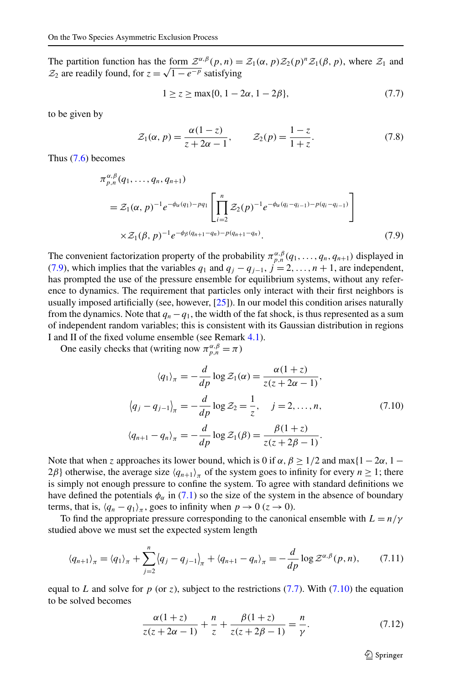<span id="page-20-0"></span>The partition function has the form  $\mathcal{Z}^{\alpha,\beta}(p,n) = \mathcal{Z}_1(\alpha,p)\mathcal{Z}_2(p)^n\mathcal{Z}_1(\beta,p)$ , where  $\mathcal{Z}_1$  and  $\mathcal{Z}_2$  are readily found, for  $z = \sqrt{1 - e^{-p}}$  satisfying

$$
1 \ge z \ge \max\{0, 1 - 2\alpha, 1 - 2\beta\},\tag{7.7}
$$

to be given by

$$
\mathcal{Z}_1(\alpha, p) = \frac{\alpha(1-z)}{z+2\alpha-1}, \qquad \mathcal{Z}_2(p) = \frac{1-z}{1+z}.
$$
 (7.8)

Thus [\(7.6](#page-19-0)) becomes

$$
\pi_{p,n}^{\alpha,\beta}(q_1,\ldots,q_n,q_{n+1})
$$
\n
$$
= \mathcal{Z}_1(\alpha,p)^{-1}e^{-\phi_{\alpha}(q_1)-pq_1}\left[\prod_{i=2}^n \mathcal{Z}_2(p)^{-1}e^{-\phi_{\alpha}(q_i-q_{i-1})-p(q_i-q_{i-1})}\right]
$$
\n
$$
\times \mathcal{Z}_1(\beta,p)^{-1}e^{-\phi_{\beta}(q_{n+1}-q_n)-p(q_{n+1}-q_n)}.
$$
\n(7.9)

The convenient factorization property of the probability  $\pi_{p,n}^{\alpha,\beta}(q_1,\ldots,q_n,q_{n+1})$  displayed in (7.9), which implies that the variables  $q_1$  and  $q_j - q_{j-1}$ ,  $j = 2, ..., n + 1$ , are independent, has prompted the use of the pressure ensemble for equilibrium systems, without any reference to dynamics. The requirement that particles only interact with their first neighbors is usually imposed artificially (see, however, [[25](#page-28-0)]). In our model this condition arises naturally from the dynamics. Note that  $q_n - q_1$ , the width of the fat shock, is thus represented as a sum of independent random variables; this is consistent with its Gaussian distribution in regions I and II of the fixed volume ensemble (see Remark [4.1\)](#page-11-0).

One easily checks that (writing now  $\pi_{p,n}^{\alpha,\beta} = \pi$ )

$$
\langle q_1 \rangle_{\pi} = -\frac{d}{dp} \log \mathcal{Z}_1(\alpha) = \frac{\alpha(1+z)}{z(z+2\alpha-1)},
$$
  

$$
\langle q_j - q_{j-1} \rangle_{\pi} = -\frac{d}{dp} \log \mathcal{Z}_2 = \frac{1}{z}, \quad j = 2, ..., n,
$$
  

$$
\langle q_{n+1} - q_n \rangle_{\pi} = -\frac{d}{dp} \log \mathcal{Z}_1(\beta) = \frac{\beta(1+z)}{z(z+2\beta-1)}.
$$
 (7.10)

Note that when *z* approaches its lower bound, which is 0 if  $\alpha$ ,  $\beta \ge 1/2$  and max $\{1 - 2\alpha, 1 -$ 2 $\beta$ } otherwise, the average size  $\langle q_{n+1} \rangle_{\pi}$  of the system goes to infinity for every  $n \geq 1$ ; there is simply not enough pressure to confine the system. To agree with standard definitions we have defined the potentials  $\phi_{\alpha}$  in ([7.1](#page-18-0)) so the size of the system in the absence of boundary terms, that is,  $\langle q_n - q_1 \rangle_{\pi}$ , goes to infinity when  $p \to 0$  ( $z \to 0$ ).

To find the appropriate pressure corresponding to the canonical ensemble with  $L = n/\gamma$ studied above we must set the expected system length

$$
\langle q_{n+1} \rangle_{\pi} = \langle q_1 \rangle_{\pi} + \sum_{j=2}^{n} \langle q_j - q_{j-1} \rangle_{\pi} + \langle q_{n+1} - q_n \rangle_{\pi} = -\frac{d}{dp} \log \mathcal{Z}^{\alpha, \beta}(p, n), \qquad (7.11)
$$

equal to *L* and solve for  $p$  (or  $z$ ), subject to the restrictions (7.7). With (7.10) the equation to be solved becomes

$$
\frac{\alpha(1+z)}{z(z+2\alpha-1)} + \frac{n}{z} + \frac{\beta(1+z)}{z(z+2\beta-1)} = \frac{n}{\gamma}.
$$
 (7.12)

 $\textcircled{2}$  Springer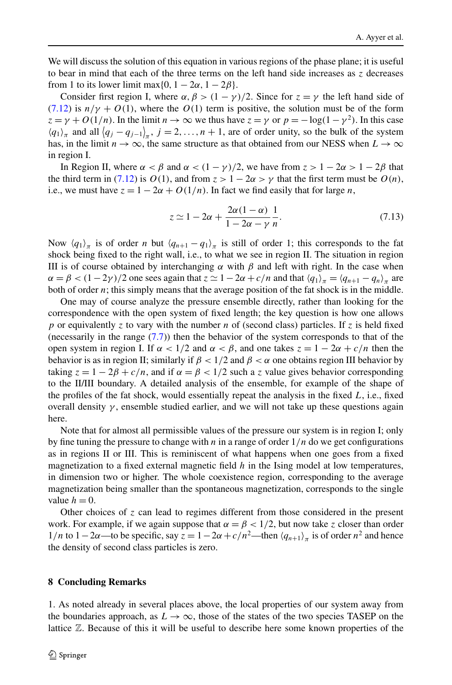<span id="page-21-0"></span>We will discuss the solution of this equation in various regions of the phase plane; it is useful to bear in mind that each of the three terms on the left hand side increases as *z* decreases from 1 to its lower limit max $\{0, 1 - 2\alpha, 1 - 2\beta\}.$ 

Consider first region I, where  $\alpha$ ,  $\beta$  >  $(1 - \gamma)/2$ . Since for  $z = \gamma$  the left hand side of  $(7.12)$  $(7.12)$  is  $n/\gamma + O(1)$ , where the  $O(1)$  term is positive, the solution must be of the form  $z = \gamma + O(1/n)$ . In the limit  $n \to \infty$  we thus have  $z = \gamma$  or  $p = -\log(1 - \gamma^2)$ . In this case  $\langle q_1 \rangle_{\pi}$  and all  $\langle q_j - q_{j-1} \rangle_{\pi}$ ,  $j = 2, ..., n + 1$ , are of order unity, so the bulk of the system has, in the limit  $n \to \infty$ , the same structure as that obtained from our NESS when  $L \to \infty$ in region I.

In Region II, where  $\alpha < \beta$  and  $\alpha < (1 - \gamma)/2$ , we have from  $z > 1 - 2\alpha > 1 - 2\beta$  that the third term in [\(7.12\)](#page-20-0) is  $O(1)$ , and from  $z > 1 - 2\alpha > \gamma$  that the first term must be  $O(n)$ , i.e., we must have  $z = 1 - 2\alpha + O(1/n)$ . In fact we find easily that for large *n*,

$$
z \simeq 1 - 2\alpha + \frac{2\alpha(1-\alpha)}{1 - 2\alpha - \gamma} \frac{1}{n}.\tag{7.13}
$$

Now  $\langle q_1 \rangle_{\pi}$  is of order *n* but  $\langle q_{n+1} - q_1 \rangle_{\pi}$  is still of order 1; this corresponds to the fat shock being fixed to the right wall, i.e., to what we see in region II. The situation in region III is of course obtained by interchanging  $α$  with  $β$  and left with right. In the case when  $\alpha = \beta < (1-2\gamma)/2$  one sees again that  $z \simeq 1-2\alpha + c/n$  and that  $\langle q_1 \rangle_{\pi} = \langle q_{n+1} - q_n \rangle_{\pi}$  are both of order *n*; this simply means that the average position of the fat shock is in the middle.

One may of course analyze the pressure ensemble directly, rather than looking for the correspondence with the open system of fixed length; the key question is how one allows *p* or equivalently *z* to vary with the number *n* of (second class) particles. If *z* is held fixed (necessarily in the range  $(7.7)$  $(7.7)$ ) then the behavior of the system corresponds to that of the open system in region I. If  $\alpha < 1/2$  and  $\alpha < \beta$ , and one takes  $z = 1 - 2\alpha + c/n$  then the behavior is as in region II; similarly if  $\beta < 1/2$  and  $\beta < \alpha$  one obtains region III behavior by taking  $z = 1 - 2\beta + c/n$ , and if  $\alpha = \beta < 1/2$  such a *z* value gives behavior corresponding to the II/III boundary. A detailed analysis of the ensemble, for example of the shape of the profiles of the fat shock, would essentially repeat the analysis in the fixed *L*, i.e., fixed overall density  $\gamma$ , ensemble studied earlier, and we will not take up these questions again here.

Note that for almost all permissible values of the pressure our system is in region I; only by fine tuning the pressure to change with *n* in a range of order 1*/n* do we get configurations as in regions II or III. This is reminiscent of what happens when one goes from a fixed magnetization to a fixed external magnetic field *h* in the Ising model at low temperatures, in dimension two or higher. The whole coexistence region, corresponding to the average magnetization being smaller than the spontaneous magnetization, corresponds to the single value  $h = 0$ .

Other choices of *z* can lead to regimes different from those considered in the present work. For example, if we again suppose that  $\alpha = \beta < 1/2$ , but now take *z* closer than order 1*/n* to 1−2*α*—to be specific, say  $z = 1 - 2\alpha + c/n^2$ —then  $\langle q_{n+1} \rangle$ <sub>π</sub> is of order *n*<sup>2</sup> and hence the density of second class particles is zero.

## **8 Concluding Remarks**

1. As noted already in several places above, the local properties of our system away from the boundaries approach, as  $L \to \infty$ , those of the states of the two species TASEP on the lattice Z. Because of this it will be useful to describe here some known properties of the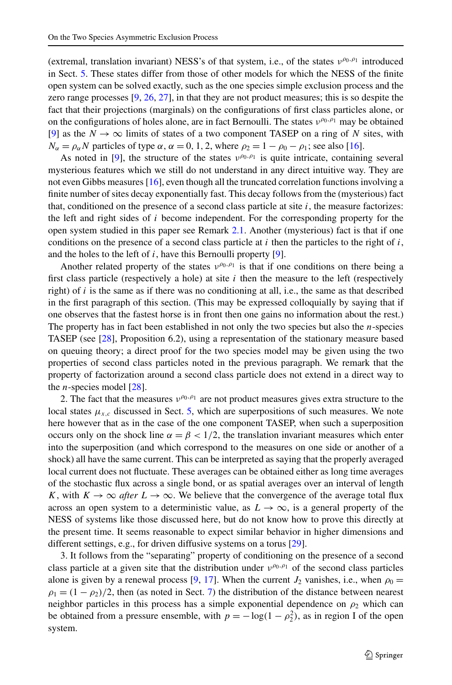(extremal, translation invariant) NESS's of that system, i.e., of the states *ν<sup>ρ</sup>*0*,ρ*<sup>1</sup> introduced in Sect. [5](#page-12-0). These states differ from those of other models for which the NESS of the finite open system can be solved exactly, such as the one species simple exclusion process and the zero range processes  $[9, 26, 27]$  $[9, 26, 27]$  $[9, 26, 27]$  $[9, 26, 27]$  $[9, 26, 27]$  $[9, 26, 27]$ , in that they are not product measures; this is so despite the fact that their projections (marginals) on the configurations of first class particles alone, or on the configurations of holes alone, are in fact Bernoulli. The states *ν<sup>ρ</sup>*0*,ρ*<sup>1</sup> may be obtained [[9\]](#page-27-0) as the  $N \to \infty$  limits of states of a two component TASEP on a ring of N sites, with  $N_{\alpha} = \rho_{\alpha} N$  particles of type  $\alpha$ ,  $\alpha = 0, 1, 2$ , where  $\rho_2 = 1 - \rho_0 - \rho_1$ ; see also [[16](#page-27-0)].

As noted in [[9](#page-27-0)], the structure of the states *ν*<sup>ρ</sup><sup>0</sup>,<sup>ρ</sup><sup>1</sup> is quite intricate, containing several mysterious features which we still do not understand in any direct intuitive way. They are not even Gibbs measures [[16](#page-27-0)], even though all the truncated correlation functions involving a finite number of sites decay exponentially fast. This decay follows from the (mysterious) fact that, conditioned on the presence of a second class particle at site  $i$ , the measure factorizes: the left and right sides of *i* become independent. For the corresponding property for the open system studied in this paper see Remark [2.1](#page-7-0). Another (mysterious) fact is that if one conditions on the presence of a second class particle at  $i$  then the particles to the right of  $i$ , and the holes to the left of *i*, have this Bernoulli property [\[9\]](#page-27-0).

Another related property of the states  $v^{\rho_0, \rho_1}$  is that if one conditions on there being a first class particle (respectively a hole) at site *i* then the measure to the left (respectively right) of *i* is the same as if there was no conditioning at all, i.e., the same as that described in the first paragraph of this section. (This may be expressed colloquially by saying that if one observes that the fastest horse is in front then one gains no information about the rest.) The property has in fact been established in not only the two species but also the *n*-species TASEP (see [\[28\]](#page-28-0), Proposition 6.2), using a representation of the stationary measure based on queuing theory; a direct proof for the two species model may be given using the two properties of second class particles noted in the previous paragraph. We remark that the property of factorization around a second class particle does not extend in a direct way to the *n*-species model  $[28]$ .

2. The fact that the measures  $v^{\rho_0, \rho_1}$  are not product measures gives extra structure to the local states  $\mu_{x,c}$  discussed in Sect. [5](#page-12-0), which are superpositions of such measures. We note here however that as in the case of the one component TASEP, when such a superposition occurs only on the shock line  $\alpha = \beta < 1/2$ , the translation invariant measures which enter into the superposition (and which correspond to the measures on one side or another of a shock) all have the same current. This can be interpreted as saying that the properly averaged local current does not fluctuate. These averages can be obtained either as long time averages of the stochastic flux across a single bond, or as spatial averages over an interval of length *K*, with  $K \to \infty$  *after*  $L \to \infty$ . We believe that the convergence of the average total flux across an open system to a deterministic value, as  $L \rightarrow \infty$ , is a general property of the NESS of systems like those discussed here, but do not know how to prove this directly at the present time. It seems reasonable to expect similar behavior in higher dimensions and different settings, e.g., for driven diffusive systems on a torus [[29](#page-28-0)].

3. It follows from the "separating" property of conditioning on the presence of a second class particle at a given site that the distribution under *ν<sup>ρ</sup>*0*,ρ*<sup>1</sup> of the second class particles alone is given by a renewal process [\[9](#page-27-0), [17\]](#page-27-0). When the current  $J_2$  vanishes, i.e., when  $\rho_0 =$  $\rho_1 = (1 - \rho_2)/2$ , then (as noted in Sect. [7\)](#page-18-0) the distribution of the distance between nearest neighbor particles in this process has a simple exponential dependence on  $\rho_2$  which can be obtained from a pressure ensemble, with  $p = -\log(1 - \rho_2^2)$ , as in region I of the open system.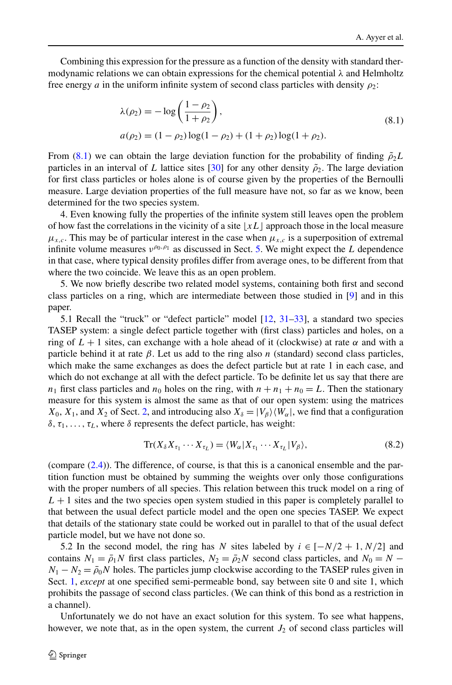Combining this expression for the pressure as a function of the density with standard thermodynamic relations we can obtain expressions for the chemical potential *λ* and Helmholtz free energy *a* in the uniform infinite system of second class particles with density  $\rho_2$ :

$$
\lambda(\rho_2) = -\log\left(\frac{1-\rho_2}{1+\rho_2}\right),
$$
  
\n
$$
a(\rho_2) = (1-\rho_2)\log(1-\rho_2) + (1+\rho_2)\log(1+\rho_2).
$$
\n(8.1)

From (8.1) we can obtain the large deviation function for the probability of finding  $\tilde{\rho}_2 L$ particles in an interval of *L* lattice sites [\[30\]](#page-28-0) for any other density  $\tilde{\rho}_2$ . The large deviation for first class particles or holes alone is of course given by the properties of the Bernoulli measure. Large deviation properties of the full measure have not, so far as we know, been determined for the two species system.

4. Even knowing fully the properties of the infinite system still leaves open the problem of how fast the correlations in the vicinity of a site  $\lfloor xL \rfloor$  approach those in the local measure  $\mu_{x,c}$ . This may be of particular interest in the case when  $\mu_{x,c}$  is a superposition of extremal infinite volume measures  $v^{\rho_0, \rho_1}$  as discussed in Sect. [5](#page-12-0). We might expect the *L* dependence in that case, where typical density profiles differ from average ones, to be different from that where the two coincide. We leave this as an open problem.

5. We now briefly describe two related model systems, containing both first and second class particles on a ring, which are intermediate between those studied in [[9\]](#page-27-0) and in this paper.

5.1 Recall the "truck" or "defect particle" model [\[12,](#page-27-0) [31](#page-28-0)–[33](#page-28-0)], a standard two species TASEP system: a single defect particle together with (first class) particles and holes, on a ring of  $L + 1$  sites, can exchange with a hole ahead of it (clockwise) at rate  $\alpha$  and with a particle behind it at rate  $\beta$ . Let us add to the ring also *n* (standard) second class particles, which make the same exchanges as does the defect particle but at rate 1 in each case, and which do not exchange at all with the defect particle. To be definite let us say that there are  $n_1$  first class particles and  $n_0$  holes on the ring, with  $n + n_1 + n_0 = L$ . Then the stationary measure for this system is almost the same as that of our open system: using the matrices  $X_0$ ,  $X_1$ , and  $X_2$  $X_2$  of Sect. 2, and introducing also  $X_\delta = |V_\delta\rangle \langle W_\alpha|$ , we find that a configuration  $\delta$ ,  $\tau_1, \ldots, \tau_L$ , where  $\delta$  represents the defect particle, has weight:

$$
\operatorname{Tr}(X_{\delta}X_{\tau_1}\cdots X_{\tau_L}) = \langle W_{\alpha}|X_{\tau_1}\cdots X_{\tau_L}|V_{\beta}\rangle, \tag{8.2}
$$

(compare [\(2.4](#page-6-0))). The difference, of course, is that this is a canonical ensemble and the partition function must be obtained by summing the weights over only those configurations with the proper numbers of all species. This relation between this truck model on a ring of  $L + 1$  sites and the two species open system studied in this paper is completely parallel to that between the usual defect particle model and the open one species TASEP. We expect that details of the stationary state could be worked out in parallel to that of the usual defect particle model, but we have not done so.

5.2 In the second model, the ring has *N* sites labeled by  $i \in [-N/2 + 1, N/2]$  and contains  $N_1 = \bar{\rho}_1 N$  first class particles,  $N_2 = \bar{\rho}_2 N$  second class particles, and  $N_0 = N N_1 - N_2 = \bar{\rho}_0 N$  holes. The particles jump clockwise according to the TASEP rules given in Sect. [1,](#page-1-0) *except* at one specified semi-permeable bond, say between site 0 and site 1, which prohibits the passage of second class particles. (We can think of this bond as a restriction in a channel).

Unfortunately we do not have an exact solution for this system. To see what happens, however, we note that, as in the open system, the current  $J_2$  of second class particles will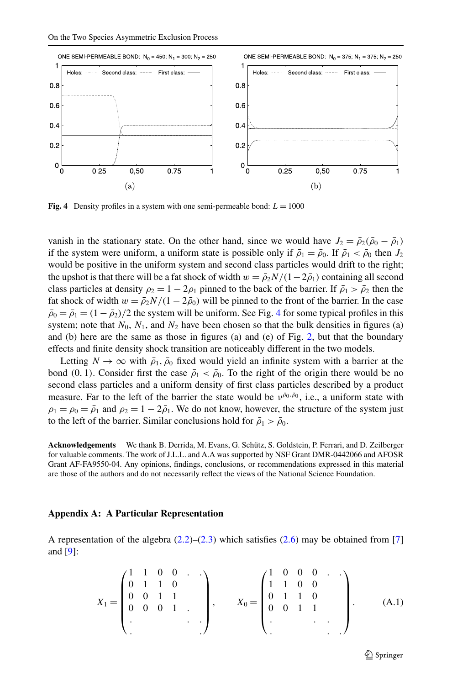<span id="page-24-0"></span>

**Fig. 4** Density profiles in a system with one semi-permeable bond:  $L = 1000$ 

vanish in the stationary state. On the other hand, since we would have  $J_2 = \bar{\rho}_2(\bar{\rho}_0 - \bar{\rho}_1)$ if the system were uniform, a uniform state is possible only if  $\bar{\rho}_1 = \bar{\rho}_0$ . If  $\bar{\rho}_1 < \bar{\rho}_0$  then  $J_2$ would be positive in the uniform system and second class particles would drift to the right; the upshot is that there will be a fat shock of width  $w = \bar{p}_2 N/(1-2\bar{p}_1)$  containing all second class particles at density  $\rho_2 = 1 - 2\rho_1$  pinned to the back of the barrier. If  $\bar{\rho}_1 > \bar{\rho}_2$  then the fat shock of width  $w = \bar{p}_2 N/(1 - 2\bar{p}_0)$  will be pinned to the front of the barrier. In the case  $\bar{\rho}_0 = \bar{\rho}_1 = (1 - \bar{\rho}_2)/2$  the system will be uniform. See Fig. 4 for some typical profiles in this system; note that  $N_0$ ,  $N_1$ , and  $N_2$  have been chosen so that the bulk densities in figures (a) and (b) here are the same as those in figures (a) and (e) of Fig. [2](#page-4-0), but that the boundary effects and finite density shock transition are noticeably different in the two models.

Letting  $N \to \infty$  with  $\bar{\rho}_1$ ,  $\bar{\rho}_0$  fixed would yield an infinite system with a barrier at the bond (0, 1). Consider first the case  $\bar{\rho}_1 < \bar{\rho}_0$ . To the right of the origin there would be no second class particles and a uniform density of first class particles described by a product measure. Far to the left of the barrier the state would be  $v^{\bar{\rho}_0, \bar{\rho}_0}$ , i.e., a uniform state with  $\rho_1 = \rho_0 = \bar{\rho}_1$  and  $\rho_2 = 1 - 2\bar{\rho}_1$ . We do not know, however, the structure of the system just to the left of the barrier. Similar conclusions hold for  $\bar{\rho}_1 > \bar{\rho}_0$ .

**Acknowledgements** We thank B. Derrida, M. Evans, G. Schütz, S. Goldstein, P. Ferrari, and D. Zeilberger for valuable comments. The work of J.L.L. and A.A was supported by NSF Grant DMR-0442066 and AFOSR Grant AF-FA9550-04. Any opinions, findings, conclusions, or recommendations expressed in this material are those of the authors and do not necessarily reflect the views of the National Science Foundation.

## **Appendix A: A Particular Representation**

A representation of the algebra  $(2.2)$  $(2.2)$  $(2.2)$ – $(2.3)$  $(2.3)$  which satisfies  $(2.6)$  $(2.6)$  may be obtained from [[7](#page-27-0)] and [\[9\]](#page-27-0):

$$
X_1 = \begin{pmatrix} 1 & 1 & 0 & 0 & \cdots \\ 0 & 1 & 1 & 0 & \cdots \\ 0 & 0 & 1 & 1 & \cdots \\ 0 & 0 & 0 & 1 & \cdots \end{pmatrix}, \qquad X_0 = \begin{pmatrix} 1 & 0 & 0 & 0 & \cdots \\ 1 & 1 & 0 & 0 & \cdots \\ 0 & 1 & 1 & 0 & \cdots \\ 0 & 0 & 1 & 1 & \cdots \\ \vdots & \vdots & \vdots & \ddots & \vdots \end{pmatrix} . \tag{A.1}
$$

 $\mathcal{D}$  Springer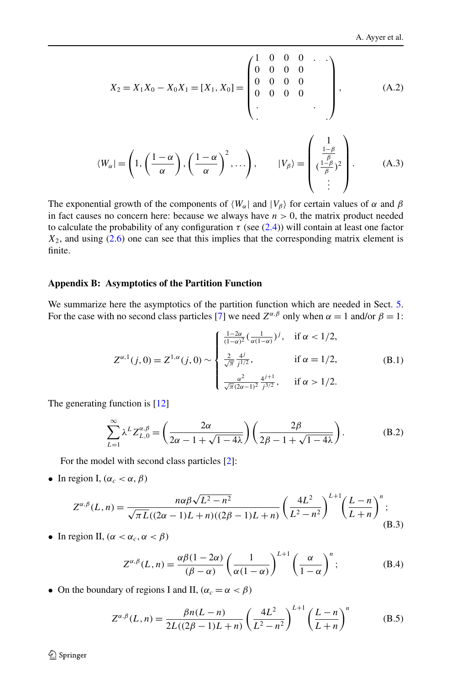<span id="page-25-0"></span>
$$
X_2 = X_1 X_0 - X_0 X_1 = [X_1, X_0] = \begin{pmatrix} 1 & 0 & 0 & 0 & \cdot & \cdot \\ 0 & 0 & 0 & 0 & 0 & \cdot \\ 0 & 0 & 0 & 0 & 0 & \cdot \\ \cdot & \cdot & \cdot & \cdot & \cdot \end{pmatrix}, \quad (A.2)
$$

$$
\langle W_\alpha | = \left( 1, \left( \frac{1 - \alpha}{\alpha} \right), \left( \frac{1 - \alpha}{\alpha} \right)^2, \dots \right), \quad |V_\beta \rangle = \begin{pmatrix} 1 \\ \frac{1 - \beta}{\beta} \\ \cdot & \cdot & \cdot \\ \cdot & \cdot & \cdot \\ \cdot & \cdot & \cdot \end{pmatrix} . \quad (A.3)
$$

The exponential growth of the components of  $\langle W_\alpha |$  and  $|V_\beta \rangle$  for certain values of  $\alpha$  and  $\beta$ in fact causes no concern here: because we always have  $n > 0$ , the matrix product needed to calculate the probability of any configuration  $\tau$  (see ([2.4\)](#page-6-0)) will contain at least one factor  $X_2$ , and using  $(2.6)$  $(2.6)$  one can see that this implies that the corresponding matrix element is finite.

#### **Appendix B: Asymptotics of the Partition Function**

We summarize here the asymptotics of the partition function which are needed in Sect. [5](#page-12-0). For the case with no second class particles [[7\]](#page-27-0) we need  $Z^{\alpha,\beta}$  only when  $\alpha = 1$  and/or  $\beta = 1$ :

$$
Z^{\alpha,1}(j,0) = Z^{1,\alpha}(j,0) \sim \begin{cases} \frac{1-2\alpha}{(1-\alpha)^2} \left(\frac{1}{\alpha(1-\alpha)}\right)^j, & \text{if } \alpha < 1/2, \\ \frac{2}{\sqrt{\pi}} \frac{4^j}{j^{1/2}}, & \text{if } \alpha = 1/2, \\ \frac{\alpha^2}{\sqrt{\pi}(2\alpha-1)^2} \frac{4^{j+1}}{j^{3/2}}, & \text{if } \alpha > 1/2. \end{cases}
$$
(B.1)

The generating function is [[12](#page-27-0)]

$$
\sum_{L=1}^{\infty} \lambda^L Z_{L,0}^{\alpha,\beta} = \left(\frac{2\alpha}{2\alpha - 1 + \sqrt{1 - 4\lambda}}\right) \left(\frac{2\beta}{2\beta - 1 + \sqrt{1 - 4\lambda}}\right).
$$
 (B.2)

For the model with second class particles [\[2](#page-27-0)]:

• In region I,  $(\alpha_c < \alpha, \beta)$ 

$$
Z^{\alpha,\beta}(L,n) = \frac{n\alpha\beta\sqrt{L^2 - n^2}}{\sqrt{\pi L}((2\alpha - 1)L + n)((2\beta - 1)L + n)} \left(\frac{4L^2}{L^2 - n^2}\right)^{L+1} \left(\frac{L-n}{L+n}\right)^n;
$$
\n(B.3)

• In region II,  $(\alpha < \alpha_c, \alpha < \beta)$ 

$$
Z^{\alpha,\beta}(L,n) = \frac{\alpha\beta(1-2\alpha)}{(\beta-\alpha)} \left(\frac{1}{\alpha(1-\alpha)}\right)^{L+1} \left(\frac{\alpha}{1-\alpha}\right)^n; \tag{B.4}
$$

• On the boundary of regions I and II,  $(\alpha_c = \alpha < \beta)$ 

$$
Z^{\alpha,\beta}(L,n) = \frac{\beta n (L-n)}{2L((2\beta - 1)L + n)} \left(\frac{4L^2}{L^2 - n^2}\right)^{L+1} \left(\frac{L-n}{L+n}\right)^n
$$
 (B.5)

 $\textcircled{2}$  Springer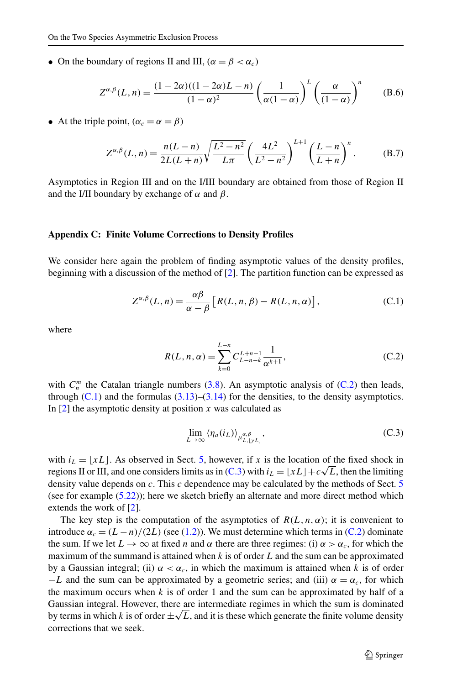<span id="page-26-0"></span>• On the boundary of regions II and III,  $(\alpha = \beta < \alpha_c)$ 

$$
Z^{\alpha,\beta}(L,n) = \frac{(1-2\alpha)((1-2\alpha)L-n)}{(1-\alpha)^2} \left(\frac{1}{\alpha(1-\alpha)}\right)^L \left(\frac{\alpha}{(1-\alpha)}\right)^n \qquad (B.6)
$$

• At the triple point,  $(\alpha_c = \alpha = \beta)$ 

$$
Z^{\alpha,\beta}(L,n) = \frac{n(L-n)}{2L(L+n)} \sqrt{\frac{L^2 - n^2}{L\pi}} \left(\frac{4L^2}{L^2 - n^2}\right)^{L+1} \left(\frac{L-n}{L+n}\right)^n.
$$
 (B.7)

Asymptotics in Region III and on the I/III boundary are obtained from those of Region II and the I/II boundary by exchange of *α* and *β*.

#### **Appendix C: Finite Volume Corrections to Density Profiles**

We consider here again the problem of finding asymptotic values of the density profiles, beginning with a discussion of the method of [\[2](#page-27-0)]. The partition function can be expressed as

$$
Z^{\alpha,\beta}(L,n) = \frac{\alpha\beta}{\alpha - \beta} \left[ R(L,n,\beta) - R(L,n,\alpha) \right],
$$
 (C.1)

where

$$
R(L, n, \alpha) = \sum_{k=0}^{L-n} C_{L-n-k}^{L+n-1} \frac{1}{\alpha^{k+1}},
$$
\n(C.2)

with  $C_n^m$  the Catalan triangle numbers [\(3.8\)](#page-9-0). An asymptotic analysis of (C.2) then leads, through  $(C.1)$  and the formulas  $(3.13)$  $(3.13)$  $(3.13)$ – $(3.14)$  for the densities, to the density asymptotics. In [\[2\]](#page-27-0) the asymptotic density at position *x* was calculated as

$$
\lim_{L \to \infty} \langle \eta_a(i_L) \rangle_{\mu_{L,[\gamma L]}^{\alpha,\beta}}, \tag{C.3}
$$

with  $i_L = \lfloor xL \rfloor$ . As observed in Sect. [5](#page-12-0), however, if x is the location of the fixed shock in with  $i_L = [xL]$ . As observed in sect. 3, nowever, if x is the location of the fixed shock in regions II or III, and one considers limits as in (C.3) with  $i_L = [xL] + c\sqrt{L}$ , then the limiting density value depends on *c*. This *c* dependence may be calculated by the methods of Sect. [5](#page-12-0) (see for example ([5.22](#page-17-0))); here we sketch briefly an alternate and more direct method which extends the work of [\[2\]](#page-27-0).

The key step is the computation of the asymptotics of  $R(L,n,\alpha)$ ; it is convenient to introduce  $\alpha_c = (L - n)/(2L)$  (see ([1.2\)](#page-2-0)). We must determine which terms in (C.2) dominate the sum. If we let  $L \to \infty$  at fixed *n* and  $\alpha$  there are three regimes: (i)  $\alpha > \alpha_c$ , for which the maximum of the summand is attained when *k* is of order *L* and the sum can be approximated by a Gaussian integral; (ii)  $\alpha < \alpha_c$ , in which the maximum is attained when *k* is of order  $-L$  and the sum can be approximated by a geometric series; and (iii)  $\alpha = \alpha_c$ , for which the maximum occurs when  $k$  is of order 1 and the sum can be approximated by half of a Gaussian integral. However, there are intermediate regimes in which the sum is dominated Gaussian integral. However, there are intermediate regimes in which the sum is dominated<br>by terms in which *k* is of order  $\pm \sqrt{L}$ , and it is these which generate the finite volume density corrections that we seek.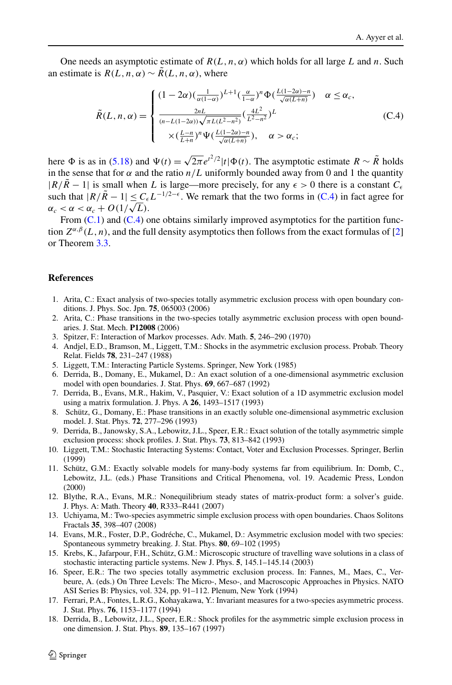<span id="page-27-0"></span>One needs an asymptotic estimate of  $R(L, n, \alpha)$  which holds for all large L and n. Such an estimate is  $R(L, n, \alpha) \sim \tilde{R}(L, n, \alpha)$ , where

$$
\tilde{R}(L,n,\alpha) = \begin{cases}\n(1-2\alpha)\left(\frac{1}{\alpha(1-\alpha)}\right)^{L+1}\left(\frac{\alpha}{1-\alpha}\right)^n \Phi\left(\frac{L(1-2\alpha)-n}{\sqrt{\alpha(L+n)}}\right) & \alpha \le \alpha_c, \\
\frac{2nL}{(n-L(1-2\alpha))\sqrt{\pi L(L^2-n^2})}\left(\frac{4L^2}{L^2-n^2}\right)^L & (\text{C.4}) \\
\times \left(\frac{L-n}{L+n}\right)^n \Psi\left(\frac{L(1-2\alpha)-n}{\sqrt{\alpha(L+n)}}\right), & \alpha > \alpha_c;\n\end{cases}
$$

here  $\Phi$  is as in [\(5.18\)](#page-16-0) and  $\Psi(t) = \sqrt{2\pi} e^{t^2/2} |t| \Phi(t)$ . The asymptotic estimate  $R \sim \tilde{R}$  holds in the sense that for  $\alpha$  and the ratio  $n/L$  uniformly bounded away from 0 and 1 the quantity  $|R/\tilde{R} - 1|$  is small when *L* is large—more precisely, for any  $\epsilon > 0$  there is a constant  $C_{\epsilon}$ such that  $|R/\tilde{R} - 1| \leq C_{\epsilon} L^{-1/2-\epsilon}$ . We remark that the two forms in (C.4) in fact agree for *ac*  $\alpha_c < \alpha < \alpha_c + O(1/\sqrt{L}).$ 

From  $(C.1)$  $(C.1)$  $(C.1)$  and  $(C.4)$  one obtains similarly improved asymptotics for the partition function  $Z^{\alpha,\beta}(L,n)$ , and the full density asymptotics then follows from the exact formulas of [2] or Theorem [3.3](#page-10-0).

## **References**

- 1. Arita, C.: Exact analysis of two-species totally asymmetric exclusion process with open boundary conditions. J. Phys. Soc. Jpn. **75**, 065003 (2006)
- 2. Arita, C.: Phase transitions in the two-species totally asymmetric exclusion process with open boundaries. J. Stat. Mech. **P12008** (2006)
- 3. Spitzer, F.: Interaction of Markov processes. Adv. Math. **5**, 246–290 (1970)
- 4. Andjel, E.D., Bramson, M., Liggett, T.M.: Shocks in the asymmetric exclusion process. Probab. Theory Relat. Fields **78**, 231–247 (1988)
- 5. Liggett, T.M.: Interacting Particle Systems. Springer, New York (1985)
- 6. Derrida, B., Domany, E., Mukamel, D.: An exact solution of a one-dimensional asymmetric exclusion model with open boundaries. J. Stat. Phys. **69**, 667–687 (1992)
- 7. Derrida, B., Evans, M.R., Hakim, V., Pasquier, V.: Exact solution of a 1D asymmetric exclusion model using a matrix formulation. J. Phys. A **26**, 1493–1517 (1993)
- 8. Schütz, G., Domany, E.: Phase transitions in an exactly soluble one-dimensional asymmetric exclusion model. J. Stat. Phys. **72**, 277–296 (1993)
- 9. Derrida, B., Janowsky, S.A., Lebowitz, J.L., Speer, E.R.: Exact solution of the totally asymmetric simple exclusion process: shock profiles. J. Stat. Phys. **73**, 813–842 (1993)
- 10. Liggett, T.M.: Stochastic Interacting Systems: Contact, Voter and Exclusion Processes. Springer, Berlin (1999)
- 11. Schütz, G.M.: Exactly solvable models for many-body systems far from equilibrium. In: Domb, C., Lebowitz, J.L. (eds.) Phase Transitions and Critical Phenomena, vol. 19. Academic Press, London (2000)
- 12. Blythe, R.A., Evans, M.R.: Nonequilibrium steady states of matrix-product form: a solver's guide. J. Phys. A: Math. Theory **40**, R333–R441 (2007)
- 13. Uchiyama, M.: Two-species asymmetric simple exclusion process with open boundaries. Chaos Solitons Fractals **35**, 398–407 (2008)
- 14. Evans, M.R., Foster, D.P., Godréche, C., Mukamel, D.: Asymmetric exclusion model with two species: Spontaneous symmetry breaking. J. Stat. Phys. **80**, 69–102 (1995)
- 15. Krebs, K., Jafarpour, F.H., Schütz, G.M.: Microscopic structure of travelling wave solutions in a class of stochastic interacting particle systems. New J. Phys. **5**, 145.1–145.14 (2003)
- 16. Speer, E.R.: The two species totally asymmetric exclusion process. In: Fannes, M., Maes, C., Verbeure, A. (eds.) On Three Levels: The Micro-, Meso-, and Macroscopic Approaches in Physics. NATO ASI Series B: Physics, vol. 324, pp. 91–112. Plenum, New York (1994)
- 17. Ferrari, P.A., Fontes, L.R.G., Kohayakawa, Y.: Invariant measures for a two-species asymmetric process. J. Stat. Phys. **76**, 1153–1177 (1994)
- 18. Derrida, B., Lebowitz, J.L., Speer, E.R.: Shock profiles for the asymmetric simple exclusion process in one dimension. J. Stat. Phys. **89**, 135–167 (1997)